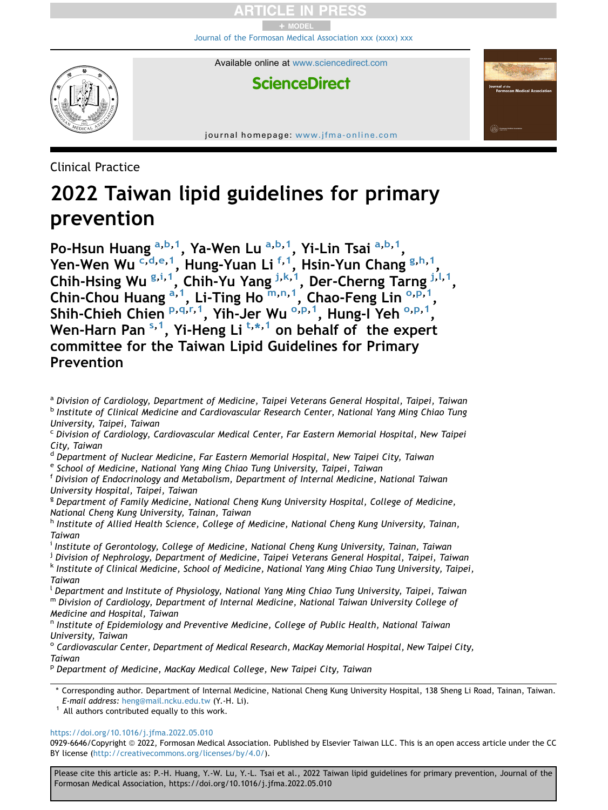+ MODEL [Journal of the Formosan Medical Association xxx \(xxxx\) xxx](https://doi.org/10.1016/j.jfma.2022.05.010)

**ScienceDirect** 

Available online at [www.sciencedirect.com](www.sciencedirect.com/science/journal/09296646)

journal homepage: [www.jfma-online.com](http://www.jfma-online.com)

Clinical Practice

# 2022 Taiwan lipid guidelines for primary prevention

Po-Hsun Hu[a](#page-0-0)ng <sup>a,[b,](#page-0-1)[1](#page-0-2)</sup>, Ya-Wen Lu <sup>[a,](#page-0-0)b,1</sup>, Yi-Lin Tsai <sup>a,b,1</sup>, Yen-Wen Wu <sup>[c,](#page-0-3)[d](#page-0-4)[,e](#page-0-5)[,1](#page-0-2)</sup>, Hung-Yuan Li<sup>[f,](#page-0-6)[1](#page-0-2)</sup>, Hsin-Yun Chan[g](#page-0-7) <sup>g[,h](#page-0-8),1</sup>, Chih-Hsin[g](#page-0-7) Wu <sup>g,[i](#page-0-9),[1](#page-0-2)</sup>, Chih-Yu Yang <sup>[j,](#page-0-10)[k](#page-0-11)[,1](#page-0-2)</sup>, Der-Cherng Tarng <sup>j,[l,](#page-0-12)1</sup>, Chin-Chou Hu[a](#page-0-0)ng <sup>a, 1</sup>, Li-Ting Ho<sup>[m](#page-0-13),[n](#page-0-14), [1](#page-0-2)</sup>, Chao-Feng Lin<sup>[o,](#page-0-15)[p,](#page-0-16) 1</sup>, Shih-Chieh Chien P, 9, r, 1, Yih-Jer Wu <su[p](#page-0-16)>0, p, [1](#page-0-2)</sup>, Hung-I Yeh <sup>0, p, 1</sup>, Wen-Harn Pan <sup>[s,](#page-1-2) [1](#page-0-2)</sup>, Yi-Heng Li <sup>[t,](#page-1-3)[\\*](#page-0-17), 1</sup> on behalf of the expert committee for the Taiwan Lipid Guidelines for Primary Prevention

<span id="page-0-6"></span><sup>f</sup> Division of Endocrinology and Metabolism, Department of Internal Medicine, National Taiwan University Hospital, Taipei, Taiwan

<span id="page-0-7"></span><sup>g</sup> Department of Family Medicine, National Cheng Kung University Hospital, College of Medicine, National Cheng Kung University, Tainan, Taiwan

<span id="page-0-8"></span>h Institute of Allied Health Science, College of Medicine, National Cheng Kung University, Tainan, Taiwan

<span id="page-0-9"></span><sup>i</sup> Institute of Gerontology, College of Medicine, National Cheng Kung University, Tainan, Taiwan

<span id="page-0-10"></span><sup>j</sup> Division of Nephrology, Department of Medicine, Taipei Veterans General Hospital, Taipei, Taiwan

<span id="page-0-11"></span><sup>k</sup> Institute of Clinical Medicine, School of Medicine, National Yang Ming Chiao Tung University, Taipei, Taiwan

<span id="page-0-13"></span><span id="page-0-12"></span><sup>l</sup> Department and Institute of Physiology, National Yang Ming Chiao Tung University, Taipei, Taiwan <sup>m</sup> Division of Cardiology, Department of Internal Medicine, National Taiwan University College of Medicine and Hospital, Taiwan

<span id="page-0-14"></span><sup>n</sup> Institute of Epidemiology and Preventive Medicine, College of Public Health, National Taiwan University, Taiwan

<span id="page-0-15"></span><sup>o</sup> Cardiovascular Center, Department of Medical Research, MacKay Memorial Hospital, New Taipei City, Taiwan

<span id="page-0-16"></span><sup>p</sup> Department of Medicine, MacKay Medical College, New Taipei City, Taiwan

<https://doi.org/10.1016/j.jfma.2022.05.010>

0929-6646/Copyright © 2022, Formosan Medical Association. Published by Elsevier Taiwan LLC. This is an open access article under the CC BY license (<http://creativecommons.org/licenses/by/4.0/>).

Please cite this article as: P.-H. Huang, Y.-W. Lu, Y.-L. Tsai et al., 2022 Taiwan lipid guidelines for primary prevention, Journal of the Formosan Medical Association, https://doi.org/10.1016/j.jfma.2022.05.010

<span id="page-0-1"></span><span id="page-0-0"></span>a Division of Cardiology, Department of Medicine, Taipei Veterans General Hospital, Taipei, Taiwan <sup>b</sup> Institute of Clinical Medicine and Cardiovascular Research Center, National Yang Ming Chiao Tung University, Taipei, Taiwan

<span id="page-0-3"></span><sup>c</sup> Division of Cardiology, Cardiovascular Medical Center, Far Eastern Memorial Hospital, New Taipei City, Taiwan

<span id="page-0-4"></span><sup>&</sup>lt;sup>d</sup> Department of Nuclear Medicine, Far Eastern Memorial Hospital, New Taipei City, Taiwan

<span id="page-0-5"></span><sup>e</sup> School of Medicine, National Yang Ming Chiao Tung University, Taipei, Taiwan

<span id="page-0-17"></span><sup>\*</sup> Corresponding author. Department of Internal Medicine, National Cheng Kung University Hospital, 138 Sheng Li Road, Tainan, Taiwan. E-mail address: [heng@mail.ncku.edu.tw](mailto:heng@mail.ncku.edu.tw) (Y.-H. Li).

<span id="page-0-2"></span> $1$  All authors contributed equally to this work.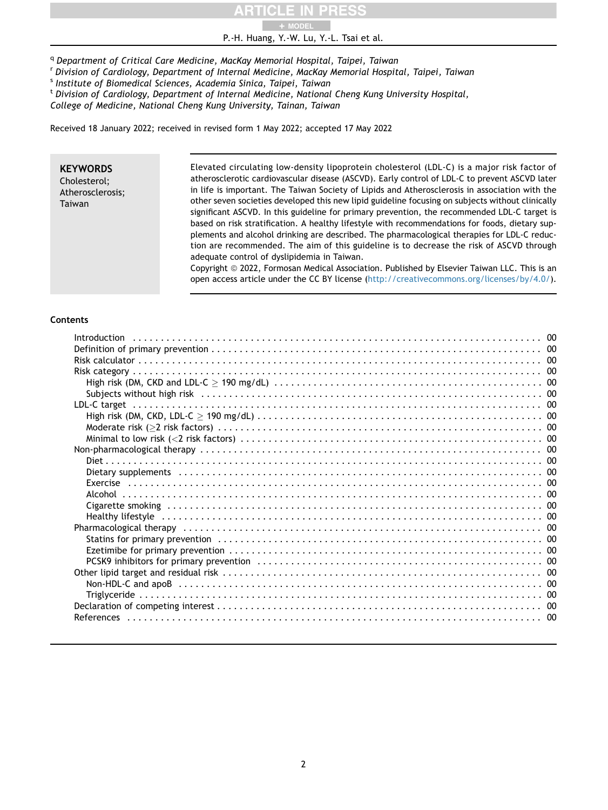# + MODEL

P.-H. Huang, Y.-W. Lu, Y.-L. Tsai et al.

<span id="page-1-0"></span><sup>q</sup> Department of Critical Care Medicine, MacKay Memorial Hospital, Taipei, Taiwan

<span id="page-1-1"></span><sup>r</sup> Division of Cardiology, Department of Internal Medicine, MacKay Memorial Hospital, Taipei, Taiwan

<span id="page-1-2"></span><sup>s</sup> Institute of Biomedical Sciences, Academia Sinica, Taipei, Taiwan

<span id="page-1-3"></span><sup>t</sup> Division of Cardiology, Department of Internal Medicine, National Cheng Kung University Hospital,

College of Medicine, National Cheng Kung University, Tainan, Taiwan

Received 18 January 2022; received in revised form 1 May 2022; accepted 17 May 2022

#### **KEYWORDS** Cholesterol; Atherosclerosis; Taiwan

Elevated circulating low-density lipoprotein cholesterol (LDL-C) is a major risk factor of atherosclerotic cardiovascular disease (ASCVD). Early control of LDL-C to prevent ASCVD later in life is important. The Taiwan Society of Lipids and Atherosclerosis in association with the other seven societies developed this new lipid guideline focusing on subjects without clinically significant ASCVD. In this guideline for primary prevention, the recommended LDL-C target is based on risk stratification. A healthy lifestyle with recommendations for foods, dietary supplements and alcohol drinking are described. The pharmacological therapies for LDL-C reduction are recommended. The aim of this guideline is to decrease the risk of ASCVD through adequate control of dyslipidemia in Taiwan.

Copyright @ 2022, Formosan Medical Association. Published by Elsevier Taiwan LLC. This is an open access article under the CC BY license (<http://creativecommons.org/licenses/by/4.0/>).

# Contents

| Healthy lifestyle influent contains and the contact of the contact of the contact of the contact of the contact of the contact of the contact of the contact of the contact of the contact of the contact of the contact of th |  |
|--------------------------------------------------------------------------------------------------------------------------------------------------------------------------------------------------------------------------------|--|
|                                                                                                                                                                                                                                |  |
|                                                                                                                                                                                                                                |  |
|                                                                                                                                                                                                                                |  |
|                                                                                                                                                                                                                                |  |
|                                                                                                                                                                                                                                |  |
|                                                                                                                                                                                                                                |  |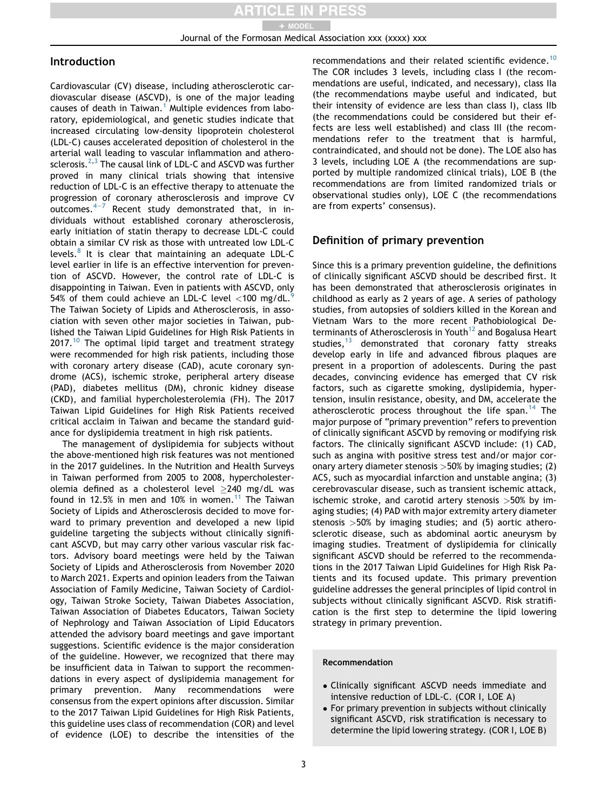# Introduction

Cardiovascular (CV) disease, including atherosclerotic cardiovascular disease (ASCVD), is one of the major leading causes of death in Taiwan.<sup>[1](#page-10-0)</sup> Multiple evidences from laboratory, epidemiological, and genetic studies indicate that increased circulating low-density lipoprotein cholesterol (LDL-C) causes accelerated deposition of cholesterol in the arterial wall leading to vascular inflammation and atherosclerosis. $2,3$  $2,3$  The causal link of LDL-C and ASCVD was further proved in many clinical trials showing that intensive reduction of LDL-C is an effective therapy to attenuate the progression of coronary atherosclerosis and improve CV outcomes. $4-7$  $4-7$  $4-7$  Recent study demonstrated that, in individuals without established coronary atherosclerosis, early initiation of statin therapy to decrease LDL-C could obtain a similar CV risk as those with untreated low LDL-C levels. $8$  It is clear that maintaining an adequate LDL-C level earlier in life is an effective intervention for prevention of ASCVD. However, the control rate of LDL-C is disappointing in Taiwan. Even in patients with ASCVD, only 54% of them could achieve an LDL-C level  $\langle$ 100 mg/dL.<sup>[9](#page-10-5)</sup> The Taiwan Society of Lipids and Atherosclerosis, in association with seven other major societies in Taiwan, published the Taiwan Lipid Guidelines for High Risk Patients in  $2017.<sup>10</sup>$  $2017.<sup>10</sup>$  $2017.<sup>10</sup>$  The optimal lipid target and treatment strategy were recommended for high risk patients, including those with coronary artery disease (CAD), acute coronary syndrome (ACS), ischemic stroke, peripheral artery disease (PAD), diabetes mellitus (DM), chronic kidney disease (CKD), and familial hypercholesterolemia (FH). The 2017 Taiwan Lipid Guidelines for High Risk Patients received critical acclaim in Taiwan and became the standard guidance for dyslipidemia treatment in high risk patients.

The management of dyslipidemia for subjects without the above-mentioned high risk features was not mentioned in the 2017 guidelines. In the Nutrition and Health Surveys in Taiwan performed from 2005 to 2008, hypercholesterolemia defined as a cholesterol level  $\geq$ 240 mg/dL was found in 12.5% in men and 10% in women.<sup>[11](#page-10-7)</sup> The Taiwan Society of Lipids and Atherosclerosis decided to move forward to primary prevention and developed a new lipid guideline targeting the subjects without clinically significant ASCVD, but may carry other various vascular risk factors. Advisory board meetings were held by the Taiwan Society of Lipids and Atherosclerosis from November 2020 to March 2021. Experts and opinion leaders from the Taiwan Association of Family Medicine, Taiwan Society of Cardiology, Taiwan Stroke Society, Taiwan Diabetes Association, Taiwan Association of Diabetes Educators, Taiwan Society of Nephrology and Taiwan Association of Lipid Educators attended the advisory board meetings and gave important suggestions. Scientific evidence is the major consideration of the guideline. However, we recognized that there may be insufficient data in Taiwan to support the recommendations in every aspect of dyslipidemia management for primary prevention. Many recommendations were consensus from the expert opinions after discussion. Similar to the 2017 Taiwan Lipid Guidelines for High Risk Patients, this guideline uses class of recommendation (COR) and level of evidence (LOE) to describe the intensities of the recommendations and their related scientific evidence.<sup>[10](#page-10-6)</sup> The COR includes 3 levels, including class I (the recommendations are useful, indicated, and necessary), class IIa (the recommendations maybe useful and indicated, but their intensity of evidence are less than class I), class IIb (the recommendations could be considered but their effects are less well established) and class III (the recommendations refer to the treatment that is harmful, contraindicated, and should not be done). The LOE also has 3 levels, including LOE A (the recommendations are supported by multiple randomized clinical trials), LOE B (the recommendations are from limited randomized trials or observational studies only), LOE C (the recommendations are from experts' consensus).

# Definition of primary prevention

Since this is a primary prevention guideline, the definitions of clinically significant ASCVD should be described first. It has been demonstrated that atherosclerosis originates in childhood as early as 2 years of age. A series of pathology studies, from autopsies of soldiers killed in the Korean and Vietnam Wars to the more recent Pathobiological De-terminants of Atherosclerosis in Youth<sup>[12](#page-10-8)</sup> and Bogalusa Heart studies, $13$  demonstrated that coronary fatty streaks develop early in life and advanced fibrous plaques are present in a proportion of adolescents. During the past decades, convincing evidence has emerged that CV risk factors, such as cigarette smoking, dyslipidemia, hypertension, insulin resistance, obesity, and DM, accelerate the atherosclerotic process throughout the life span.<sup>[14](#page-11-1)</sup> The major purpose of "primary prevention" refers to prevention of clinically significant ASCVD by removing or modifying risk factors. The clinically significant ASCVD include: (1) CAD, such as angina with positive stress test and/or major coronary artery diameter stenosis  $>50\%$  by imaging studies; (2) ACS, such as myocardial infarction and unstable angina; (3) cerebrovascular disease, such as transient ischemic attack, ischemic stroke, and carotid artery stenosis >50% by imaging studies; (4) PAD with major extremity artery diameter stenosis >50% by imaging studies; and (5) aortic atherosclerotic disease, such as abdominal aortic aneurysm by imaging studies. Treatment of dyslipidemia for clinically significant ASCVD should be referred to the recommendations in the 2017 Taiwan Lipid Guidelines for High Risk Patients and its focused update. This primary prevention guideline addresses the general principles of lipid control in subjects without clinically significant ASCVD. Risk stratification is the first step to determine the lipid lowering strategy in primary prevention.

#### Recommendation

- Clinically significant ASCVD needs immediate and intensive reduction of LDL-C. (COR I, LOE A)
- For primary prevention in subjects without clinically significant ASCVD, risk stratification is necessary to determine the lipid lowering strategy. (COR I, LOE B)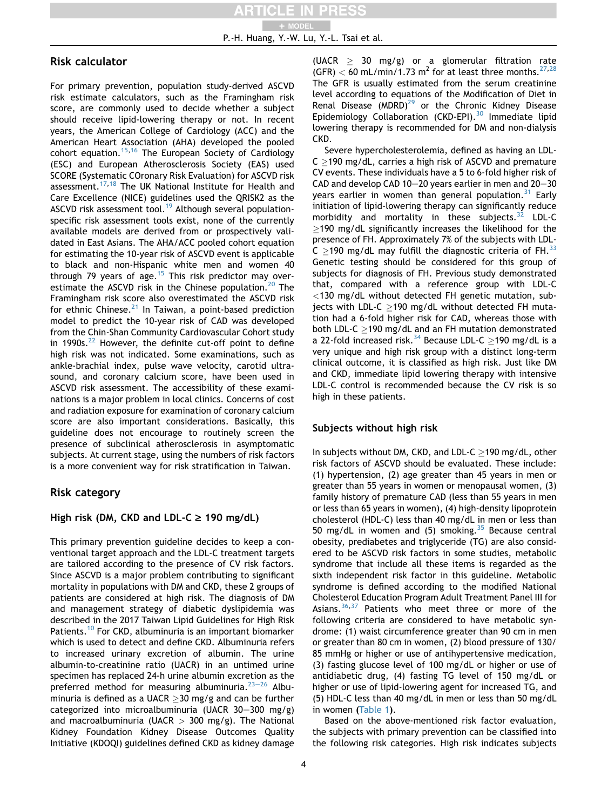P.-H. Huang, Y.-W. Lu, Y.-L. Tsai et al. + MODEL

# Risk calculator

For primary prevention, population study-derived ASCVD risk estimate calculators, such as the Framingham risk score, are commonly used to decide whether a subject should receive lipid-lowering therapy or not. In recent years, the American College of Cardiology (ACC) and the American Heart Association (AHA) developed the pooled cohort equation.<sup>[15](#page-11-2),[16](#page-11-3)</sup> The European Society of Cardiology (ESC) and European Atherosclerosis Society (EAS) used SCORE (Systematic COronary Risk Evaluation) for ASCVD risk assessment.<sup>[17,](#page-11-4)[18](#page-11-5)</sup> The UK National Institute for Health and Care Excellence (NICE) guidelines used the QRISK2 as the ASCVD risk assessment tool.<sup>19</sup> Although several populationspecific risk assessment tools exist, none of the currently available models are derived from or prospectively validated in East Asians. The AHA/ACC pooled cohort equation for estimating the 10-year risk of ASCVD event is applicable to black and non-Hispanic white men and women 40 through 79 years of age.<sup>[15](#page-11-2)</sup> This risk predictor may over-estimate the ASCVD risk in the Chinese population.<sup>[20](#page-11-7)</sup> The Framingham risk score also overestimated the ASCVD risk for ethnic Chinese. $^{21}$  $^{21}$  $^{21}$  In Taiwan, a point-based prediction model to predict the 10-year risk of CAD was developed from the Chin-Shan Community Cardiovascular Cohort study in 1990s. $^{22}$  $^{22}$  $^{22}$  However, the definite cut-off point to define high risk was not indicated. Some examinations, such as ankle-brachial index, pulse wave velocity, carotid ultrasound, and coronary calcium score, have been used in ASCVD risk assessment. The accessibility of these examinations is a major problem in local clinics. Concerns of cost and radiation exposure for examination of coronary calcium score are also important considerations. Basically, this guideline does not encourage to routinely screen the presence of subclinical atherosclerosis in asymptomatic subjects. At current stage, using the numbers of risk factors is a more convenient way for risk stratification in Taiwan.

# Risk category

# High risk (DM, CKD and LDL-C  $\ge$  190 mg/dL)

This primary prevention guideline decides to keep a conventional target approach and the LDL-C treatment targets are tailored according to the presence of CV risk factors. Since ASCVD is a major problem contributing to significant mortality in populations with DM and CKD, these 2 groups of patients are considered at high risk. The diagnosis of DM and management strategy of diabetic dyslipidemia was described in the 2017 Taiwan Lipid Guidelines for High Risk Patients.<sup>[10](#page-10-6)</sup> For CKD, albuminuria is an important biomarker which is used to detect and define CKD. Albuminuria refers to increased urinary excretion of albumin. The urine albumin-to-creatinine ratio (UACR) in an untimed urine specimen has replaced 24-h urine albumin excretion as the preferred method for measuring albuminuria. $23-26$  $23-26$  $23-26$  Albuminuria is defined as a UACR  $\geq$ 30 mg/g and can be further categorized into microalbuminuria (UACR  $30-300$  mg/g) and macroalbuminuria (UACR  $>$  300 mg/g). The National Kidney Foundation Kidney Disease Outcomes Quality Initiative (KDOQI) guidelines defined CKD as kidney damage

(UACR  $\geq$  30 mg/g) or a glomerular filtration rate (GFR)  $<$  60 mL/min/1.73 m<sup>2</sup> for at least three months.<sup>[27](#page-11-11)[,28](#page-11-12)</sup> The GFR is usually estimated from the serum creatinine level according to equations of the Modification of Diet in Renal Disease (MDRD) $^{29}$  $^{29}$  $^{29}$  or the Chronic Kidney Disease Epidemiology Collaboration (CKD-EPI). $30$  Immediate lipid lowering therapy is recommended for DM and non-dialysis CKD.

Severe hypercholesterolemia, defined as having an LDL- $C > 190$  mg/dL, carries a high risk of ASCVD and premature CV events. These individuals have a 5 to 6-fold higher risk of CAD and develop CAD 10 $-$ 20 years earlier in men and 20 $-$ 30 years earlier in women than general population.<sup>[31](#page-11-15)</sup> Early initiation of lipid-lowering therapy can significantly reduce morbidity and mortality in these subjects. $32$  LDL-C  $\ge$ 190 mg/dL significantly increases the likelihood for the presence of FH. Approximately 7% of the subjects with LDL-C  $>$ 190 mg/dL may fulfill the diagnostic criteria of FH.  $33$ Genetic testing should be considered for this group of subjects for diagnosis of FH. Previous study demonstrated that, compared with a reference group with LDL-C <130 mg/dL without detected FH genetic mutation, subjects with LDL-C  $>$ 190 mg/dL without detected FH mutation had a 6-fold higher risk for CAD, whereas those with both LDL-C  $>$ 190 mg/dL and an FH mutation demonstrated a 22-fold increased risk.<sup>[34](#page-11-18)</sup> Because LDL-C  $\geq$ 190 mg/dL is a very unique and high risk group with a distinct long-term clinical outcome, it is classified as high risk. Just like DM and CKD, immediate lipid lowering therapy with intensive LDL-C control is recommended because the CV risk is so high in these patients.

# Subjects without high risk

In subjects without DM, CKD, and LDL-C  $>$ 190 mg/dL, other risk factors of ASCVD should be evaluated. These include: (1) hypertension, (2) age greater than 45 years in men or greater than 55 years in women or menopausal women, (3) family history of premature CAD (less than 55 years in men or less than 65 years in women), (4) high-density lipoprotein cholesterol (HDL-C) less than 40 mg/dL in men or less than 50 mg/dL in women and (5) smoking.<sup>[35](#page-11-19)</sup> Because central obesity, prediabetes and triglyceride (TG) are also considered to be ASCVD risk factors in some studies, metabolic syndrome that include all these items is regarded as the sixth independent risk factor in this guideline. Metabolic syndrome is defined according to the modified National Cholesterol Education Program Adult Treatment Panel III for Asians. $36,37$  $36,37$  $36,37$  Patients who meet three or more of the following criteria are considered to have metabolic syndrome: (1) waist circumference greater than 90 cm in men or greater than 80 cm in women, (2) blood pressure of 130/ 85 mmHg or higher or use of antihypertensive medication, (3) fasting glucose level of 100 mg/dL or higher or use of antidiabetic drug, (4) fasting TG level of 150 mg/dL or higher or use of lipid-lowering agent for increased TG, and (5) HDL-C less than 40 mg/dL in men or less than 50 mg/dL in women ([Table 1](#page-4-0)).

Based on the above-mentioned risk factor evaluation, the subjects with primary prevention can be classified into the following risk categories. High risk indicates subjects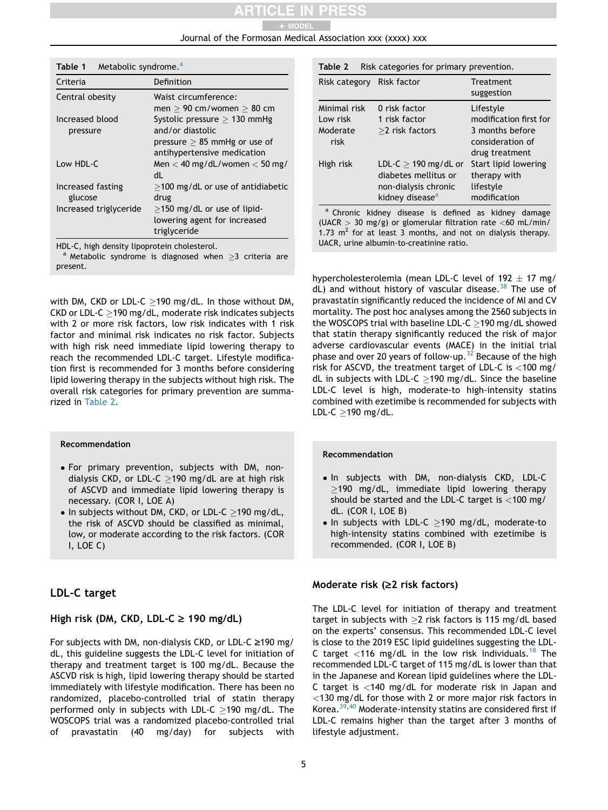#### Journal of the Formosan Medical Association xxx (xxxx) xxx + MODEL

<span id="page-4-0"></span>

| Metabolic syndrome. <sup>a</sup><br>Table 1 |                                                                                                                     |  |
|---------------------------------------------|---------------------------------------------------------------------------------------------------------------------|--|
| Criteria                                    | Definition                                                                                                          |  |
| Central obesity                             | Waist circumference:<br>men $> 90$ cm/women $> 80$ cm                                                               |  |
| Increased blood<br>pressure                 | Systolic pressure $>$ 130 mmHg<br>and/or diastolic<br>pressure $> 85$ mmHg or use of<br>antihypertensive medication |  |
| Low HDL-C                                   | Men $<$ 40 mg/dL/women $<$ 50 mg/<br>dl                                                                             |  |
| Increased fasting<br>glucose                | $>$ 100 mg/dL or use of antidiabetic<br>drug                                                                        |  |
| Increased triglyceride                      | $>$ 150 mg/dL or use of lipid-<br>lowering agent for increased<br>triglyceride                                      |  |

HDL-C, high density lipoprotein cholesterol.<br><sup>a</sup> Metabolic syndrome is diagnosed when >3 criteria are present.

with DM, CKD or LDL-C  $>$ 190 mg/dL. In those without DM, CKD or LDL-C  $>$  190 mg/dL, moderate risk indicates subjects with 2 or more risk factors, low risk indicates with 1 risk factor and minimal risk indicates no risk factor. Subjects with high risk need immediate lipid lowering therapy to reach the recommended LDL-C target. Lifestyle modification first is recommended for 3 months before considering lipid lowering therapy in the subjects without high risk. The overall risk categories for primary prevention are summarized in [Table 2.](#page-4-1)

#### Recommendation

- For primary prevention, subjects with DM, nondialysis CKD, or LDL-C  $\geq$ 190 mg/dL are at high risk of ASCVD and immediate lipid lowering therapy is necessary. (COR I, LOE A)
- $\bullet$  In subjects without DM, CKD, or LDL-C >190 mg/dL, the risk of ASCVD should be classified as minimal, low, or moderate according to the risk factors. (COR I, LOE C)

# LDL-C target

# High risk (DM, CKD, LDL-C  $\ge$  190 mg/dL)

For subjects with DM, non-dialysis CKD, or LDL-C  $\geq$ 190 mg/ dL, this guideline suggests the LDL-C level for initiation of therapy and treatment target is 100 mg/dL. Because the ASCVD risk is high, lipid lowering therapy should be started immediately with lifestyle modification. There has been no randomized, placebo-controlled trial of statin therapy performed only in subjects with LDL-C  $>$ 190 mg/dL. The WOSCOPS trial was a randomized placebo-controlled trial of pravastatin (40 mg/day) for subjects with

<span id="page-4-1"></span>

| Risk categories for primary prevention.<br>Table 2 |                                                                        |                                                                                              |  |  |
|----------------------------------------------------|------------------------------------------------------------------------|----------------------------------------------------------------------------------------------|--|--|
| Risk category                                      | Risk factor                                                            | Treatment<br>suggestion                                                                      |  |  |
| Minimal risk<br>I ow risk<br>Moderate<br>risk      | 0 risk factor<br>1 risk factor<br>$>$ 2 risk factors                   | Lifestyle<br>modification first for<br>3 months before<br>consideration of<br>drug treatment |  |  |
| High risk                                          | LDL-C $>$ 190 mg/dL or<br>diabetes mellitus or<br>non-dialysis chronic | Start lipid lowering<br>therapy with<br>lifestyle                                            |  |  |

a Chronic kidney disease is defined as kidney damage (UACR  $>$  30 mg/g) or glomerular filtration rate <60 mL/min/ 1.73  $m^2$  for at least 3 months, and not on dialysis therapy. UACR, urine albumin-to-creatinine ratio.

modification

kidney disease<sup>a</sup>

hypercholesterolemia (mean LDL-C level of  $192 + 17$  mg/ dL) and without history of vascular disease.<sup>[38](#page-11-22)</sup> The use of pravastatin significantly reduced the incidence of MI and CV mortality. The post hoc analyses among the 2560 subjects in the WOSCOPS trial with baseline LDL-C  $>$ 190 mg/dL showed that statin therapy significantly reduced the risk of major adverse cardiovascular events (MACE) in the initial trial phase and over 20 years of follow-up.<sup>[32](#page-11-16)</sup> Because of the high risk for ASCVD, the treatment target of LDL-C is <100 mg/ dL in subjects with LDL-C  $\geq$ 190 mg/dL. Since the baseline LDL-C level is high, moderate-to high-intensity statins combined with ezetimibe is recommended for subjects with LDL-C  $\geq$ 190 mg/dL.

#### Recommendation

- . In subjects with DM, non-dialysis CKD, LDL-C  $\geq$ 190 mg/dL, immediate lipid lowering therapy should be started and the LDL-C target is <100 mg/ dL. (COR I, LOE B)
- $\bullet$  In subjects with LDL-C  $\geq$ 190 mg/dL, moderate-to high-intensity statins combined with ezetimibe is recommended. (COR I, LOE B)

#### Moderate risk  $(≥2$  risk factors)

The LDL-C level for initiation of therapy and treatment target in subjects with  $\geq$ 2 risk factors is 115 mg/dL based on the experts' consensus. This recommended LDL-C level is close to the 2019 ESC lipid guidelines suggesting the LDL-C target <116 mg/dL in the low risk individuals.<sup>[18](#page-11-5)</sup> The recommended LDL-C target of 115 mg/dL is lower than that in the Japanese and Korean lipid guidelines where the LDL-C target is <140 mg/dL for moderate risk in Japan and <130 mg/dL for those with 2 or more major risk factors in Korea.[39,](#page-11-23)[40](#page-11-24) Moderate-intensity statins are considered first if LDL-C remains higher than the target after 3 months of lifestyle adjustment.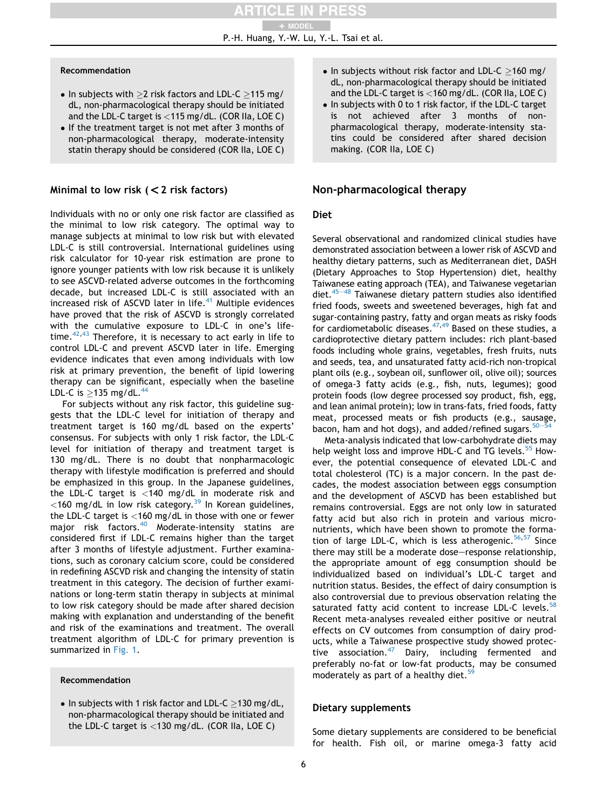#### Recommendation

- $\bullet$  In subjects with  $>2$  risk factors and LDL-C  $>115$  mg/ dL, non-pharmacological therapy should be initiated and the LDL-C target is <115 mg/dL. (COR IIa, LOE C)
- If the treatment target is not met after 3 months of non-pharmacological therapy, moderate-intensity statin therapy should be considered (COR IIa, LOE C)

# Minimal to low risk  $(< 2$  risk factors)

Individuals with no or only one risk factor are classified as the minimal to low risk category. The optimal way to manage subjects at minimal to low risk but with elevated LDL-C is still controversial. International guidelines using risk calculator for 10-year risk estimation are prone to ignore younger patients with low risk because it is unlikely to see ASCVD-related adverse outcomes in the forthcoming decade, but increased LDL-C is still associated with an increased risk of ASCVD later in life. $41$  Multiple evidences have proved that the risk of ASCVD is strongly correlated with the cumulative exposure to LDL-C in one's lifetime. $42,43$  $42,43$  $42,43$  Therefore, it is necessary to act early in life to control LDL-C and prevent ASCVD later in life. Emerging evidence indicates that even among individuals with low risk at primary prevention, the benefit of lipid lowering therapy can be significant, especially when the baseline LDL-C is  $\geq$ 135 mg/dL.<sup>44</sup>

For subjects without any risk factor, this guideline suggests that the LDL-C level for initiation of therapy and treatment target is 160 mg/dL based on the experts' consensus. For subjects with only 1 risk factor, the LDL-C level for initiation of therapy and treatment target is 130 mg/dL. There is no doubt that nonpharmacologic therapy with lifestyle modification is preferred and should be emphasized in this group. In the Japanese guidelines, the LDL-C target is <140 mg/dL in moderate risk and  $<$ 160 mg/dL in low risk category.<sup>[39](#page-11-23)</sup> In Korean guidelines, the LDL-C target is <160 mg/dL in those with one or fewer major risk factors.<sup>40</sup> Moderate-intensity statins are considered first if LDL-C remains higher than the target after 3 months of lifestyle adjustment. Further examinations, such as coronary calcium score, could be considered in redefining ASCVD risk and changing the intensity of statin treatment in this category. The decision of further examinations or long-term statin therapy in subjects at minimal to low risk category should be made after shared decision making with explanation and understanding of the benefit and risk of the examinations and treatment. The overall treatment algorithm of LDL-C for primary prevention is summarized in [Fig. 1.](#page-6-0)

#### Recommendation

 $\bullet$  In subjects with 1 risk factor and LDL-C  $>$ 130 mg/dL, non-pharmacological therapy should be initiated and the LDL-C target is <130 mg/dL. (COR IIa, LOE C)

- $\bullet$  In subjects without risk factor and LDL-C  $>$ 160 mg/ dL, non-pharmacological therapy should be initiated and the LDL-C target is <160 mg/dL. (COR IIa, LOE C)
- In subjects with 0 to 1 risk factor, if the LDL-C target<br>is not achieved after 3 months of nonnot achieved after 3 months of nonpharmacological therapy, moderate-intensity statins could be considered after shared decision making. (COR IIa, LOE C)

# Non-pharmacological therapy

# Diet

Several observational and randomized clinical studies have demonstrated association between a lower risk of ASCVD and healthy dietary patterns, such as Mediterranean diet, DASH (Dietary Approaches to Stop Hypertension) diet, healthy Taiwanese eating approach (TEA), and Taiwanese vegetarian diet.<sup>45-[48](#page-11-29)</sup> Taiwanese dietary pattern studies also identified fried foods, sweets and sweetened beverages, high fat and sugar-containing pastry, fatty and organ meats as risky foods for cardiometabolic diseases.  $47,49$  $47,49$  Based on these studies, a cardioprotective dietary pattern includes: rich plant-based foods including whole grains, vegetables, fresh fruits, nuts and seeds, tea, and unsaturated fatty acid-rich non-tropical plant oils (e.g., soybean oil, sunflower oil, olive oil); sources of omega-3 fatty acids (e.g., fish, nuts, legumes); good protein foods (low degree processed soy product, fish, egg, and lean animal protein); low in trans-fats, fried foods, fatty meat, processed meats or fish products (e.g., sausage, bacon, ham and hot dogs), and added/refined sugars. $50-54$  $50-54$  $50-54$ 

Meta-analysis indicated that low-carbohydrate diets may help weight loss and improve HDL-C and TG levels.<sup>[55](#page-12-3)</sup> However, the potential consequence of elevated LDL-C and total cholesterol (TC) is a major concern. In the past decades, the modest association between eggs consumption and the development of ASCVD has been established but remains controversial. Eggs are not only low in saturated fatty acid but also rich in protein and various micronutrients, which have been shown to promote the forma-tion of large LDL-C, which is less atherogenic.<sup>56,[57](#page-12-5)</sup> Since there may still be a moderate dose-response relationship, the appropriate amount of egg consumption should be individualized based on individual's LDL-C target and nutrition status. Besides, the effect of dairy consumption is also controversial due to previous observation relating the saturated fatty acid content to increase LDL-C levels.<sup>[58](#page-12-6)</sup> Recent meta-analyses revealed either positive or neutral effects on CV outcomes from consumption of dairy products, while a Taiwanese prospective study showed protective association.[47](#page-12-0) Dairy, including fermented and preferably no-fat or low-fat products, may be consumed moderately as part of a healthy diet.<sup>5</sup>

# Dietary supplements

Some dietary supplements are considered to be beneficial for health. Fish oil, or marine omega-3 fatty acid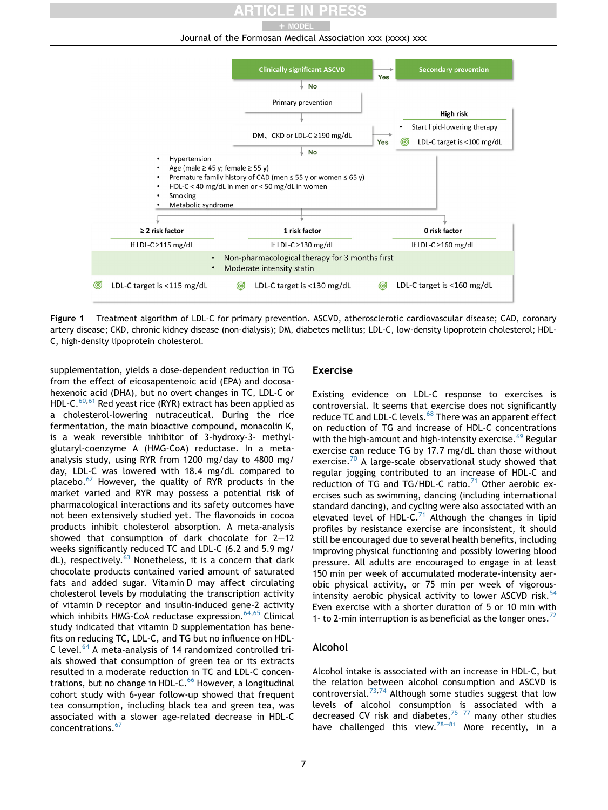Journal of the Formosan Medical Association xxx (xxxx) xxx + MODEL

<span id="page-6-0"></span>

Figure 1 Treatment algorithm of LDL-C for primary prevention. ASCVD, atherosclerotic cardiovascular disease; CAD, coronary artery disease; CKD, chronic kidney disease (non-dialysis); DM, diabetes mellitus; LDL-C, low-density lipoprotein cholesterol; HDL-C, high-density lipoprotein cholesterol.

supplementation, yields a dose-dependent reduction in TG from the effect of eicosapentenoic acid (EPA) and docosahexenoic acid (DHA), but no overt changes in TC, LDL-C or HDL-C. $60,61$  $60,61$  $60,61$  Red yeast rice (RYR) extract has been applied as a cholesterol-lowering nutraceutical. During the rice fermentation, the main bioactive compound, monacolin K, is a weak reversible inhibitor of 3-hydroxy-3- methylglutaryl-coenzyme A (HMG-CoA) reductase. In a metaanalysis study, using RYR from 1200 mg/day to 4800 mg/ day, LDL-C was lowered with 18.4 mg/dL compared to placebo.[62](#page-12-10) However, the quality of RYR products in the market varied and RYR may possess a potential risk of pharmacological interactions and its safety outcomes have not been extensively studied yet. The flavonoids in cocoa products inhibit cholesterol absorption. A meta-analysis showed that consumption of dark chocolate for  $2-12$ weeks significantly reduced TC and LDL-C (6.2 and 5.9 mg/  $dL$ ), respectively.<sup>[63](#page-12-11)</sup> Nonetheless, it is a concern that dark chocolate products contained varied amount of saturated fats and added sugar. Vitamin D may affect circulating cholesterol levels by modulating the transcription activity of vitamin D receptor and insulin-induced gene-2 activity which inhibits HMG-CoA reductase expression. $64,65$  $64,65$  Clinical study indicated that vitamin D supplementation has benefits on reducing TC, LDL-C, and TG but no influence on HDL-C level.[64](#page-12-12) A meta-analysis of 14 randomized controlled trials showed that consumption of green tea or its extracts resulted in a moderate reduction in TC and LDL-C concentrations, but no change in HDL-C. $^{66}$  However, a longitudinal cohort study with 6-year follow-up showed that frequent tea consumption, including black tea and green tea, was associated with a slower age-related decrease in HDL-C concentrations.<sup>[67](#page-12-15)</sup>

#### Exercise

Existing evidence on LDL-C response to exercises is controversial. It seems that exercise does not significantly reduce TC and LDL-C levels.<sup>[68](#page-12-16)</sup> There was an apparent effect on reduction of TG and increase of HDL-C concentrations with the high-amount and high-intensity exercise.<sup>[69](#page-12-17)</sup> Regular exercise can reduce TG by 17.7 mg/dL than those without exercise.<sup>70</sup> A large-scale observational study showed that regular jogging contributed to an increase of HDL-C and reduction of TG and TG/HDL-C ratio. $^{71}$  $^{71}$  $^{71}$  Other aerobic exercises such as swimming, dancing (including international standard dancing), and cycling were also associated with an elevated level of HDL-C. $^{71}$  Although the changes in lipid profiles by resistance exercise are inconsistent, it should still be encouraged due to several health benefits, including improving physical functioning and possibly lowering blood pressure. All adults are encouraged to engage in at least 150 min per week of accumulated moderate-intensity aerobic physical activity, or 75 min per week of vigorousintensity aerobic physical activity to lower ASCVD risk. $54$ Even exercise with a shorter duration of 5 or 10 min with 1- to 2-min interruption is as beneficial as the longer ones.<sup>[72](#page-12-21)</sup>

#### Alcohol

Alcohol intake is associated with an increase in HDL-C, but the relation between alcohol consumption and ASCVD is controversial.<sup>[73](#page-12-22),[74](#page-12-23)</sup> Although some studies suggest that low levels of alcohol consumption is associated with a decreased CV risk and diabetes, $75-77$  $75-77$  $75-77$  many other studies have challenged this view.<sup>78-[81](#page-12-25)</sup> More recently, in a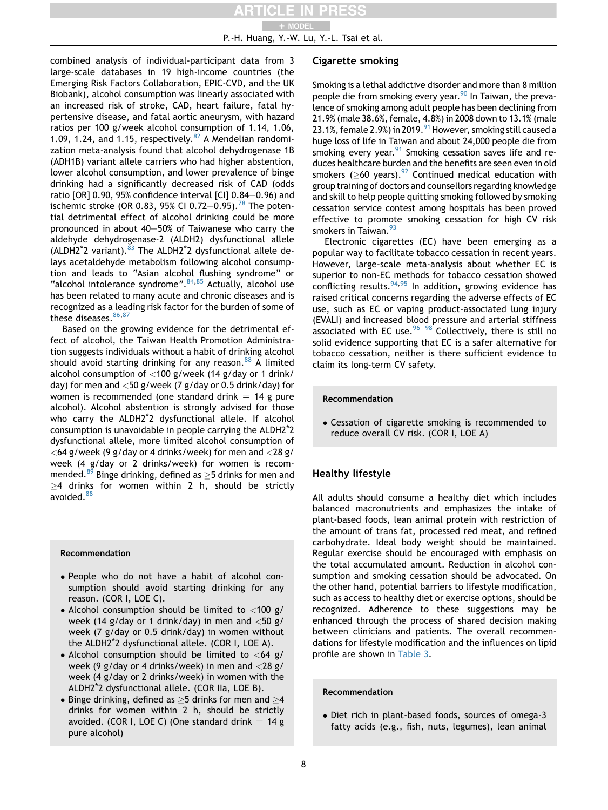combined analysis of individual-participant data from 3 large-scale databases in 19 high-income countries (the Emerging Risk Factors Collaboration, EPIC-CVD, and the UK Biobank), alcohol consumption was linearly associated with an increased risk of stroke, CAD, heart failure, fatal hypertensive disease, and fatal aortic aneurysm, with hazard ratios per 100 g/week alcohol consumption of 1.14, 1.06, 1.09, 1.24, and 1.15, respectively.  $82$  A Mendelian randomization meta-analysis found that alcohol dehydrogenase 1B (ADH1B) variant allele carriers who had higher abstention, lower alcohol consumption, and lower prevalence of binge drinking had a significantly decreased risk of CAD (odds ratio [OR] 0.90, 95% confidence interval [CI]  $0.84-0.96$ ) and ischemic stroke (OR 0.83, 95% CI 0.72-0.95).<sup>[78](#page-12-25)</sup> The potential detrimental effect of alcohol drinking could be more pronounced in about 40-50% of Taiwanese who carry the aldehyde dehydrogenase-2 (ALDH2) dysfunctional allele (ALDH2<sup>\*</sup>2 variant).<sup>[83](#page-13-0)</sup> The ALDH2<sup>\*</sup>2 dysfunctional allele delays acetaldehyde metabolism following alcohol consumption and leads to "Asian alcohol flushing syndrome" or "alcohol intolerance syndrome". $84,85$  $84,85$  Actually, alcohol use has been related to many acute and chronic diseases and is recognized as a leading risk factor for the burden of some of these diseases. $86,87$  $86,87$ 

Based on the growing evidence for the detrimental effect of alcohol, the Taiwan Health Promotion Administration suggests individuals without a habit of drinking alcohol should avoid starting drinking for any reason. $88$  A limited alcohol consumption of <100 g/week (14 g/day or 1 drink/ day) for men and  $<$  50 g/week (7 g/day or 0.5 drink/day) for women is recommended (one standard drink  $= 14$  g pure alcohol). Alcohol abstention is strongly advised for those who carry the ALDH2\*2 dysfunctional allele. If alcohol consumption is unavoidable in people carrying the ALDH2\*2 dysfunctional allele, more limited alcohol consumption of  $<$  64 g/week (9 g/day or 4 drinks/week) for men and  $<$  28 g/ week (4 g/day or 2 drinks/week) for women is recom-mended.<sup>[89](#page-13-6)</sup> Binge drinking, defined as  $\geq$ 5 drinks for men and  $>4$  drinks for women within 2 h, should be strictly avoided.<sup>[88](#page-13-5)</sup>

#### Recommendation

- People who do not have a habit of alcohol consumption should avoid starting drinking for any reason. (COR I, LOE C).
- Alcohol consumption should be limited to  $<$ 100 g/ week (14 g/day or 1 drink/day) in men and  $<$  50 g/ week (7 g/day or 0.5 drink/day) in women without the ALDH2\*2 dysfunctional allele. (COR I, LOE A).
- Alcohol consumption should be limited to  $<$  64 g/ week (9 g/day or 4 drinks/week) in men and <28 g/ week (4 g/day or 2 drinks/week) in women with the ALDH2\*2 dysfunctional allele. (COR IIa, LOE B).
- Binge drinking, defined as  $\geq$ 5 drinks for men and  $\geq$ 4 drinks for women within 2 h, should be strictly avoided. (COR I, LOE C) (One standard drink  $= 14$  g pure alcohol)

#### Cigarette smoking

Smoking is a lethal addictive disorder and more than 8 million people die from smoking every year.<sup>90</sup> In Taiwan, the prevalence of smoking among adult people has been declining from 21.9% (male 38.6%, female, 4.8%) in 2008 down to 13.1% (male 23.1%, female 2.9%) in 2019. <sup>91</sup> However, smoking still caused a huge loss of life in Taiwan and about 24,000 people die from smoking every year. <sup>91</sup> Smoking cessation saves life and reduces healthcare burden and the benefits are seen even in old smokers ( $>60$  years).<sup>92</sup> Continued medical education with group training of doctors and counsellors regarding knowledge and skill to help people quitting smoking followed by smoking cessation service contest among hospitals has been proved effective to promote smoking cessation for high CV risk smokers in Taiwan.<sup>[93](#page-13-10)</sup>

Electronic cigarettes (EC) have been emerging as a popular way to facilitate tobacco cessation in recent years. However, large-scale meta-analysis about whether EC is superior to non-EC methods for tobacco cessation showed conflicting results.  $94,95$  $94,95$  In addition, growing evidence has raised critical concerns regarding the adverse effects of EC use, such as EC or vaping product-associated lung injury (EVALI) and increased blood pressure and arterial stiffness associated with EC use.  $96-98$  $96-98$  $96-98$  Collectively, there is still no solid evidence supporting that EC is a safer alternative for tobacco cessation, neither is there sufficient evidence to claim its long-term CV safety.

#### Recommendation

 Cessation of cigarette smoking is recommended to reduce overall CV risk. (COR I, LOE A)

#### Healthy lifestyle

All adults should consume a healthy diet which includes balanced macronutrients and emphasizes the intake of plant-based foods, lean animal protein with restriction of the amount of trans fat, processed red meat, and refined carbohydrate. Ideal body weight should be maintained. Regular exercise should be encouraged with emphasis on the total accumulated amount. Reduction in alcohol consumption and smoking cessation should be advocated. On the other hand, potential barriers to lifestyle modification, such as access to healthy diet or exercise options, should be recognized. Adherence to these suggestions may be enhanced through the process of shared decision making between clinicians and patients. The overall recommendations for lifestyle modification and the influences on lipid profile are shown in [Table 3.](#page-8-0)

Recommendation

 Diet rich in plant-based foods, sources of omega-3 fatty acids (e.g., fish, nuts, legumes), lean animal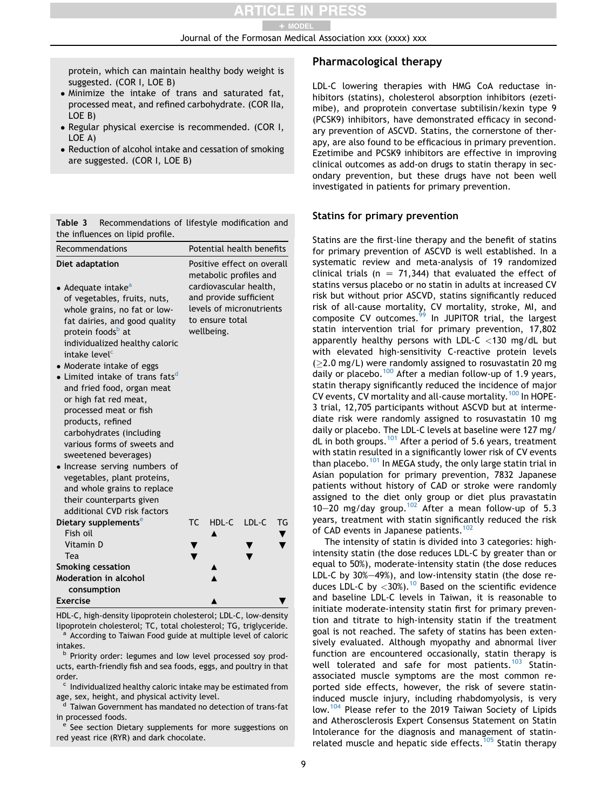Journal of the Formosan Medical Association xxx (xxxx) xxx

protein, which can maintain healthy body weight is suggested. (COR I, LOE B)

- Minimize the intake of trans and saturated fat, processed meat, and refined carbohydrate. (COR IIa, LOE B)
- Regular physical exercise is recommended. (COR I, LOE A)
- Reduction of alcohol intake and cessation of smoking are suggested. (COR I, LOE B)

<span id="page-8-0"></span>Table 3 Recommendations of lifestyle modification and the influences on lipid profile.

| Recommendations                                                                                                                                                                                                                                                                                                                                                                                                 | Potential health benefits                                                                                     |  |  |
|-----------------------------------------------------------------------------------------------------------------------------------------------------------------------------------------------------------------------------------------------------------------------------------------------------------------------------------------------------------------------------------------------------------------|---------------------------------------------------------------------------------------------------------------|--|--|
| Diet adaptation                                                                                                                                                                                                                                                                                                                                                                                                 | Positive effect on overall<br>metabolic profiles and                                                          |  |  |
| • Adequate intake <sup>a</sup><br>of vegetables, fruits, nuts,<br>whole grains, no fat or low-<br>fat dairies, and good quality<br>protein foods <sup>b</sup> at<br>individualized healthy caloric<br>intake level <sup>c</sup>                                                                                                                                                                                 | cardiovascular health,<br>and provide sufficient<br>levels of micronutrients<br>to ensure total<br>wellbeing. |  |  |
| • Moderate intake of eggs<br>• Limited intake of trans fatsd<br>and fried food, organ meat<br>or high fat red meat,<br>processed meat or fish<br>products, refined<br>carbohydrates (including<br>various forms of sweets and<br>sweetened beverages)<br>• Increase serving numbers of<br>vegetables, plant proteins,<br>and whole grains to replace<br>their counterparts given<br>additional CVD risk factors |                                                                                                               |  |  |
| Dietary supplements <sup>e</sup>                                                                                                                                                                                                                                                                                                                                                                                | LDL-C<br>TC.<br>HDL-C<br>TG                                                                                   |  |  |
| Fish oil<br>Vitamin D<br>Tea                                                                                                                                                                                                                                                                                                                                                                                    |                                                                                                               |  |  |
| <b>Smoking cessation</b>                                                                                                                                                                                                                                                                                                                                                                                        |                                                                                                               |  |  |
| <b>Moderation in alcohol</b><br>consumption                                                                                                                                                                                                                                                                                                                                                                     |                                                                                                               |  |  |
| <b>Exercise</b>                                                                                                                                                                                                                                                                                                                                                                                                 |                                                                                                               |  |  |

HDL-C, high-density lipoprotein cholesterol; LDL-C, low-density lipoprotein cholesterol; TC, total cholesterol; TG, triglyceride.<br><sup>a</sup> According to Taiwan Food guide at multiple level of caloric

intakes.<br><sup>b</sup> Priority order: legumes and low level processed soy products, earth-friendly fish and sea foods, eggs, and poultry in that

order. c Individualized healthy caloric intake may be estimated from age, sex, height, and physical activity level.

d Taiwan Government has mandated no detection of trans-fat

in processed foods.<br><sup>e</sup> See section Dietary supplements for more suggestions on red yeast rice (RYR) and dark chocolate.

# Pharmacological therapy

LDL-C lowering therapies with HMG CoA reductase inhibitors (statins), cholesterol absorption inhibitors (ezetimibe), and proprotein convertase subtilisin/kexin type 9 (PCSK9) inhibitors, have demonstrated efficacy in secondary prevention of ASCVD. Statins, the cornerstone of therapy, are also found to be efficacious in primary prevention. Ezetimibe and PCSK9 inhibitors are effective in improving clinical outcomes as add-on drugs to statin therapy in secondary prevention, but these drugs have not been well investigated in patients for primary prevention.

#### Statins for primary prevention

Statins are the first-line therapy and the benefit of statins for primary prevention of ASCVD is well established. In a systematic review and meta-analysis of 19 randomized clinical trials (n = 71,344) that evaluated the effect of statins versus placebo or no statin in adults at increased CV risk but without prior ASCVD, statins significantly reduced risk of all-cause mortality, CV mortality, stroke, MI, and composite CV outcomes.<sup>[99](#page-13-14)</sup> In JUPITOR trial, the largest statin intervention trial for primary prevention, 17,802 apparently healthy persons with LDL-C  $<$  130 mg/dL but with elevated high-sensitivity C-reactive protein levels  $(>2.0 \text{ mg/L})$  were randomly assigned to rosuvastatin 20 mg daily or placebo.<sup>[100](#page-13-15)</sup> After a median follow-up of 1.9 years, statin therapy significantly reduced the incidence of major CV events, CV mortality and all-cause mortality.[100](#page-13-15) In HOPE-3 trial, 12,705 participants without ASCVD but at intermediate risk were randomly assigned to rosuvastatin 10 mg daily or placebo. The LDL-C levels at baseline were 127 mg/ dL in both groups.<sup>[101](#page-13-16)</sup> After a period of 5.6 years, treatment with statin resulted in a significantly lower risk of CV events than placebo.<sup>[101](#page-13-16)</sup> In MEGA study, the only large statin trial in Asian population for primary prevention, 7832 Japanese patients without history of CAD or stroke were randomly assigned to the diet only group or diet plus pravastatin 10-20 mg/day group.<sup>[102](#page-13-17)</sup> After a mean follow-up of 5.3 years, treatment with statin significantly reduced the risk of CAD events in Japanese patients.<sup>[102](#page-13-17)</sup>

The intensity of statin is divided into 3 categories: highintensity statin (the dose reduces LDL-C by greater than or equal to 50%), moderate-intensity statin (the dose reduces LDL-C by  $30\% - 49\%$ ), and low-intensity statin (the dose reduces LDL-C by  $<$ 30%).<sup>10</sup> Based on the scientific evidence and baseline LDL-C levels in Taiwan, it is reasonable to initiate moderate-intensity statin first for primary prevention and titrate to high-intensity statin if the treatment goal is not reached. The safety of statins has been extensively evaluated. Although myopathy and abnormal liver function are encountered occasionally, statin therapy is well tolerated and safe for most patients.<sup>[103](#page-13-18)</sup> Statinassociated muscle symptoms are the most common reported side effects, however, the risk of severe statininduced muscle injury, including rhabdomyolysis, is very low.[104](#page-13-19) Please refer to the 2019 Taiwan Society of Lipids and Atherosclerosis Expert Consensus Statement on Statin Intolerance for the diagnosis and management of statin-related muscle and hepatic side effects.<sup>[105](#page-13-20)</sup> Statin therapy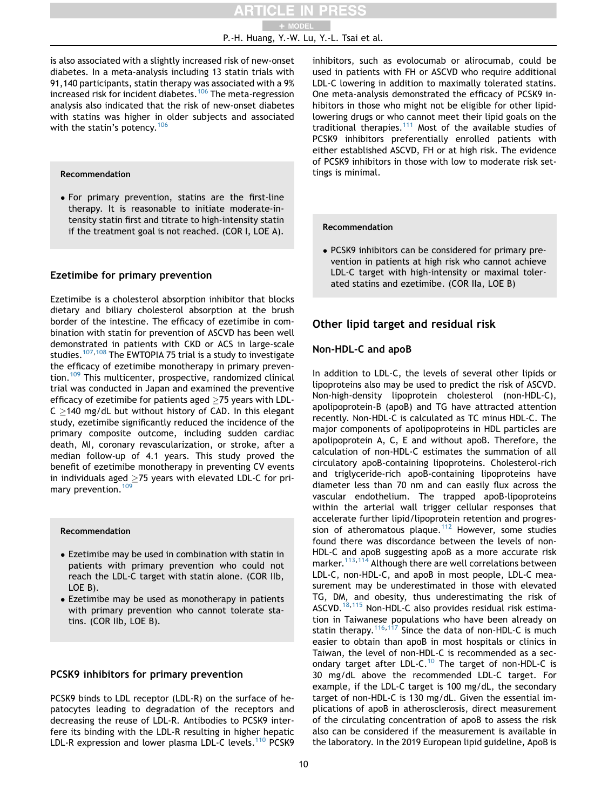is also associated with a slightly increased risk of new-onset diabetes. In a meta-analysis including 13 statin trials with 91,140 participants, statin therapy was associated with a 9% increased risk for incident diabetes.[106](#page-13-21) The meta-regression analysis also indicated that the risk of new-onset diabetes with statins was higher in older subjects and associated with the statin's potency.<sup>[106](#page-13-21)</sup>

#### Recommendation

 For primary prevention, statins are the first-line therapy. It is reasonable to initiate moderate-intensity statin first and titrate to high-intensity statin if the treatment goal is not reached. (COR I, LOE A). Recommendation

#### Ezetimibe for primary prevention

Ezetimibe is a cholesterol absorption inhibitor that blocks dietary and biliary cholesterol absorption at the brush border of the intestine. The efficacy of ezetimibe in combination with statin for prevention of ASCVD has been well demonstrated in patients with CKD or ACS in large-scale studies.<sup>[107](#page-13-22),[108](#page-13-23)</sup> The EWTOPIA 75 trial is a study to investigate the efficacy of ezetimibe monotherapy in primary preven-tion.<sup>[109](#page-13-24)</sup> This multicenter, prospective, randomized clinical trial was conducted in Japan and examined the preventive efficacy of ezetimibe for patients aged  $>75$  years with LDL- $C > 140$  mg/dL but without history of CAD. In this elegant study, ezetimibe significantly reduced the incidence of the primary composite outcome, including sudden cardiac death, MI, coronary revascularization, or stroke, after a median follow-up of 4.1 years. This study proved the benefit of ezetimibe monotherapy in preventing CV events in individuals aged  $>75$  years with elevated LDL-C for pri-mary prevention.<sup>[109](#page-13-24)</sup>

#### Recommendation

- Ezetimibe may be used in combination with statin in patients with primary prevention who could not reach the LDL-C target with statin alone. (COR IIb, LOE B).
- Ezetimibe may be used as monotherapy in patients with primary prevention who cannot tolerate statins. (COR IIb, LOE B).

#### PCSK9 inhibitors for primary prevention

PCSK9 binds to LDL receptor (LDL-R) on the surface of hepatocytes leading to degradation of the receptors and decreasing the reuse of LDL-R. Antibodies to PCSK9 interfere its binding with the LDL-R resulting in higher hepatic LDL-R expression and lower plasma LDL-C levels.<sup>[110](#page-13-25)</sup> PCSK9

inhibitors, such as evolocumab or alirocumab, could be used in patients with FH or ASCVD who require additional LDL-C lowering in addition to maximally tolerated statins. One meta-analysis demonstrated the efficacy of PCSK9 inhibitors in those who might not be eligible for other lipidlowering drugs or who cannot meet their lipid goals on the traditional therapies.<sup>[111](#page-13-26)</sup> Most of the available studies of PCSK9 inhibitors preferentially enrolled patients with either established ASCVD, FH or at high risk. The evidence of PCSK9 inhibitors in those with low to moderate risk settings is minimal.

 PCSK9 inhibitors can be considered for primary prevention in patients at high risk who cannot achieve LDL-C target with high-intensity or maximal tolerated statins and ezetimibe. (COR IIa, LOE B)

### Other lipid target and residual risk

#### Non-HDL-C and apoB

In addition to LDL-C, the levels of several other lipids or lipoproteins also may be used to predict the risk of ASCVD. Non-high-density lipoprotein cholesterol (non-HDL-C), apolipoprotein-B (apoB) and TG have attracted attention recently. Non-HDL-C is calculated as TC minus HDL-C. The major components of apolipoproteins in HDL particles are apolipoprotein A, C, E and without apoB. Therefore, the calculation of non-HDL-C estimates the summation of all circulatory apoB-containing lipoproteins. Cholesterol-rich and triglyceride-rich apoB-containing lipoproteins have diameter less than 70 nm and can easily flux across the vascular endothelium. The trapped apoB-lipoproteins within the arterial wall trigger cellular responses that accelerate further lipid/lipoprotein retention and progres-sion of atheromatous plaque.<sup>[112](#page-13-27)</sup> However, some studies found there was discordance between the levels of non-HDL-C and apoB suggesting apoB as a more accurate risk marker.<sup>[113](#page-13-28),[114](#page-13-29)</sup> Although there are well correlations between LDL-C, non-HDL-C, and apoB in most people, LDL-C measurement may be underestimated in those with elevated TG, DM, and obesity, thus underestimating the risk of ASCVD.[18](#page-11-5),[115](#page-13-30) Non-HDL-C also provides residual risk estimation in Taiwanese populations who have been already on statin therapy.<sup>[116](#page-13-31),[117](#page-13-32)</sup> Since the data of non-HDL-C is much easier to obtain than apoB in most hospitals or clinics in Taiwan, the level of non-HDL-C is recommended as a secondary target after LDL-C.[10](#page-10-6) The target of non-HDL-C is 30 mg/dL above the recommended LDL-C target. For example, if the LDL-C target is 100 mg/dL, the secondary target of non-HDL-C is 130 mg/dL. Given the essential implications of apoB in atherosclerosis, direct measurement of the circulating concentration of apoB to assess the risk also can be considered if the measurement is available in the laboratory. In the 2019 European lipid guideline, ApoB is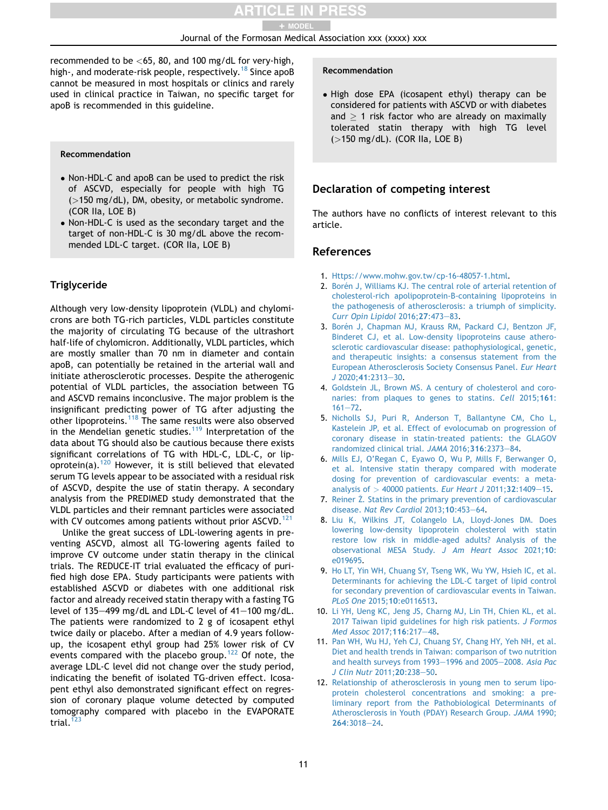recommended to be  $<$ 65, 80, and 100 mg/dL for very-high, high-, and moderate-risk people, respectively.<sup>[18](#page-11-5)</sup> Since apoB cannot be measured in most hospitals or clinics and rarely used in clinical practice in Taiwan, no specific target for apoB is recommended in this guideline.

#### Recommendation

- Non-HDL-C and apoB can be used to predict the risk of ASCVD, especially for people with high TG (>150 mg/dL), DM, obesity, or metabolic syndrome. (COR IIa, LOE B)
- Non-HDL-C is used as the secondary target and the target of non-HDL-C is 30 mg/dL above the recommended LDL-C target. (COR IIa, LOE B)

# **Triglyceride**

Although very low-density lipoprotein (VLDL) and chylomicrons are both TG-rich particles, VLDL particles constitute the majority of circulating TG because of the ultrashort half-life of chylomicron. Additionally, VLDL particles, which are mostly smaller than 70 nm in diameter and contain apoB, can potentially be retained in the arterial wall and initiate atherosclerotic processes. Despite the atherogenic potential of VLDL particles, the association between TG and ASCVD remains inconclusive. The major problem is the insignificant predicting power of TG after adjusting the other lipoproteins.[118](#page-14-0) The same results were also observed in the Mendelian genetic studies.<sup>[119](#page-14-1)</sup> Interpretation of the data about TG should also be cautious because there exists significant correlations of TG with HDL-C, LDL-C, or lipoprotein(a).[120](#page-14-2) However, it is still believed that elevated serum TG levels appear to be associated with a residual risk of ASCVD, despite the use of statin therapy. A secondary analysis from the PREDIMED study demonstrated that the VLDL particles and their remnant particles were associated with CV outcomes among patients without prior ASCVD.<sup>[121](#page-14-3)</sup>

Unlike the great success of LDL-lowering agents in preventing ASCVD, almost all TG-lowering agents failed to improve CV outcome under statin therapy in the clinical trials. The REDUCE-IT trial evaluated the efficacy of purified high dose EPA. Study participants were patients with established ASCVD or diabetes with one additional risk factor and already received statin therapy with a fasting TG level of 135 $-499$  mg/dL and LDL-C level of  $41-100$  mg/dL. The patients were randomized to 2 g of icosapent ethyl twice daily or placebo. After a median of 4.9 years followup, the icosapent ethyl group had 25% lower risk of CV events compared with the placebo group.<sup>[122](#page-14-4)</sup> Of note, the average LDL-C level did not change over the study period, indicating the benefit of isolated TG-driven effect. Icosapent ethyl also demonstrated significant effect on regression of coronary plaque volume detected by computed tomography compared with placebo in the EVAPORATE trial. $123$ 

#### Recommendation

 High dose EPA (icosapent ethyl) therapy can be considered for patients with ASCVD or with diabetes and  $> 1$  risk factor who are already on maximally tolerated statin therapy with high TG level (>150 mg/dL). (COR IIa, LOE B)

# Declaration of competing interest

The authors have no conflicts of interest relevant to this article.

#### **References**

- <span id="page-10-0"></span>1. [Https://www.mohw.gov.tw/cp-16-48057-1.html](http://Https://www.mohw.gov.tw/cp-16-48057-1.html).
- <span id="page-10-1"></span>2. Borén [J, Williams KJ. The central role of arterial retention of](http://refhub.elsevier.com/S0929-6646(22)00215-7/sref2) [cholesterol-rich apolipoprotein-B-containing lipoproteins in](http://refhub.elsevier.com/S0929-6646(22)00215-7/sref2) [the pathogenesis of atherosclerosis: a triumph of simplicity.](http://refhub.elsevier.com/S0929-6646(22)00215-7/sref2) [Curr Opin Lipidol](http://refhub.elsevier.com/S0929-6646(22)00215-7/sref2) 2016; 27: 473-[83.](http://refhub.elsevier.com/S0929-6646(22)00215-7/sref2)
- <span id="page-10-2"></span>3. Borén [J, Chapman MJ, Krauss RM, Packard CJ, Bentzon JF,](http://refhub.elsevier.com/S0929-6646(22)00215-7/sref3) [Binderet CJ, et al. Low-density lipoproteins cause athero](http://refhub.elsevier.com/S0929-6646(22)00215-7/sref3)[sclerotic cardiovascular disease: pathophysiological, genetic,](http://refhub.elsevier.com/S0929-6646(22)00215-7/sref3) [and therapeutic insights: a consensus statement from the](http://refhub.elsevier.com/S0929-6646(22)00215-7/sref3) [European Atherosclerosis Society Consensus Panel.](http://refhub.elsevier.com/S0929-6646(22)00215-7/sref3) Eur Heart  $J 2020; 41:2313 - 30.$  $J 2020; 41:2313 - 30.$  $J 2020; 41:2313 - 30.$  $J 2020; 41:2313 - 30.$  $J 2020; 41:2313 - 30.$
- <span id="page-10-3"></span>4. [Goldstein JL, Brown MS. A century of cholesterol and coro](http://refhub.elsevier.com/S0929-6646(22)00215-7/sref4)[naries: from plaques to genes to statins.](http://refhub.elsevier.com/S0929-6646(22)00215-7/sref4) Cell 2015;161:  $161 - 72$  $161 - 72$
- 5. [Nicholls SJ, Puri R, Anderson T, Ballantyne CM, Cho L,](http://refhub.elsevier.com/S0929-6646(22)00215-7/sref5) [Kastelein JP, et al. Effect of evolocumab on progression of](http://refhub.elsevier.com/S0929-6646(22)00215-7/sref5) [coronary disease in statin-treated patients: the GLAGOV](http://refhub.elsevier.com/S0929-6646(22)00215-7/sref5) [randomized clinical trial.](http://refhub.elsevier.com/S0929-6646(22)00215-7/sref5) JAMA 2016;316:2373-[84](http://refhub.elsevier.com/S0929-6646(22)00215-7/sref5).
- 6. [Mills EJ, O'Regan C, Eyawo O, Wu P, Mills F, Berwanger O,](http://refhub.elsevier.com/S0929-6646(22)00215-7/sref6) [et al. Intensive statin therapy compared with moderate](http://refhub.elsevier.com/S0929-6646(22)00215-7/sref6) [dosing for prevention of cardiovascular events: a meta](http://refhub.elsevier.com/S0929-6646(22)00215-7/sref6)[analysis of](http://refhub.elsevier.com/S0929-6646(22)00215-7/sref6)  $>$  [40000 patients.](http://refhub.elsevier.com/S0929-6646(22)00215-7/sref6) Eur Heart J 2011;32:1409-[15](http://refhub.elsevier.com/S0929-6646(22)00215-7/sref6).
- 7. [Reiner](http://refhub.elsevier.com/S0929-6646(22)00215-7/sref7) [Z. Statins in the primary prevention of cardiovascular](http://refhub.elsevier.com/S0929-6646(22)00215-7/sref7) disease. [Nat Rev Cardiol](http://refhub.elsevier.com/S0929-6646(22)00215-7/sref7)  $2013;10:453-64$ .
- <span id="page-10-4"></span>8. [Liu K, Wilkins JT, Colangelo LA, Lloyd-Jones DM. Does](http://refhub.elsevier.com/S0929-6646(22)00215-7/sref8) [lowering low-density lipoprotein cholesterol with statin](http://refhub.elsevier.com/S0929-6646(22)00215-7/sref8) [restore low risk in middle-aged adults? Analysis of the](http://refhub.elsevier.com/S0929-6646(22)00215-7/sref8) [observational MESA Study.](http://refhub.elsevier.com/S0929-6646(22)00215-7/sref8) J Am Heart Assoc 2021;10: [e019695.](http://refhub.elsevier.com/S0929-6646(22)00215-7/sref8)
- <span id="page-10-5"></span>9. [Ho LT, Yin WH, Chuang SY, Tseng WK, Wu YW, Hsieh IC, et al.](http://refhub.elsevier.com/S0929-6646(22)00215-7/sref9) [Determinants for achieving the LDL-C target of lipid control](http://refhub.elsevier.com/S0929-6646(22)00215-7/sref9) [for secondary prevention of cardiovascular events in Taiwan.](http://refhub.elsevier.com/S0929-6646(22)00215-7/sref9) PLoS One 2015;10[:e0116513](http://refhub.elsevier.com/S0929-6646(22)00215-7/sref9).
- <span id="page-10-6"></span>10. [Li YH, Ueng KC, Jeng JS, Charng MJ, Lin TH, Chien KL, et al.](http://refhub.elsevier.com/S0929-6646(22)00215-7/sref10) [2017 Taiwan lipid guidelines for high risk patients.](http://refhub.elsevier.com/S0929-6646(22)00215-7/sref10) J Formos [Med Assoc](http://refhub.elsevier.com/S0929-6646(22)00215-7/sref10) 2017;116:217-[48.](http://refhub.elsevier.com/S0929-6646(22)00215-7/sref10)
- <span id="page-10-7"></span>11. [Pan WH, Wu HJ, Yeh CJ, Chuang SY, Chang HY, Yeh NH, et al.](http://refhub.elsevier.com/S0929-6646(22)00215-7/sref11) [Diet and health trends in Taiwan: comparison of two nutrition](http://refhub.elsevier.com/S0929-6646(22)00215-7/sref11) [and health surveys from 1993](http://refhub.elsevier.com/S0929-6646(22)00215-7/sref11)-[1996 and 2005](http://refhub.elsevier.com/S0929-6646(22)00215-7/sref11)-2008. [Asia Pac](http://refhub.elsevier.com/S0929-6646(22)00215-7/sref11) [J Clin Nutr](http://refhub.elsevier.com/S0929-6646(22)00215-7/sref11) 2011;20:238-[50.](http://refhub.elsevier.com/S0929-6646(22)00215-7/sref11)
- <span id="page-10-8"></span>12. [Relationship of atherosclerosis in young men to serum lipo](http://refhub.elsevier.com/S0929-6646(22)00215-7/sref12)[protein cholesterol concentrations and smoking: a pre](http://refhub.elsevier.com/S0929-6646(22)00215-7/sref12)[liminary report from the Pathobiological Determinants of](http://refhub.elsevier.com/S0929-6646(22)00215-7/sref12) [Atherosclerosis in Youth \(PDAY\) Research Group.](http://refhub.elsevier.com/S0929-6646(22)00215-7/sref12) JAMA 1990; 264[:3018](http://refhub.elsevier.com/S0929-6646(22)00215-7/sref12)-[24](http://refhub.elsevier.com/S0929-6646(22)00215-7/sref12).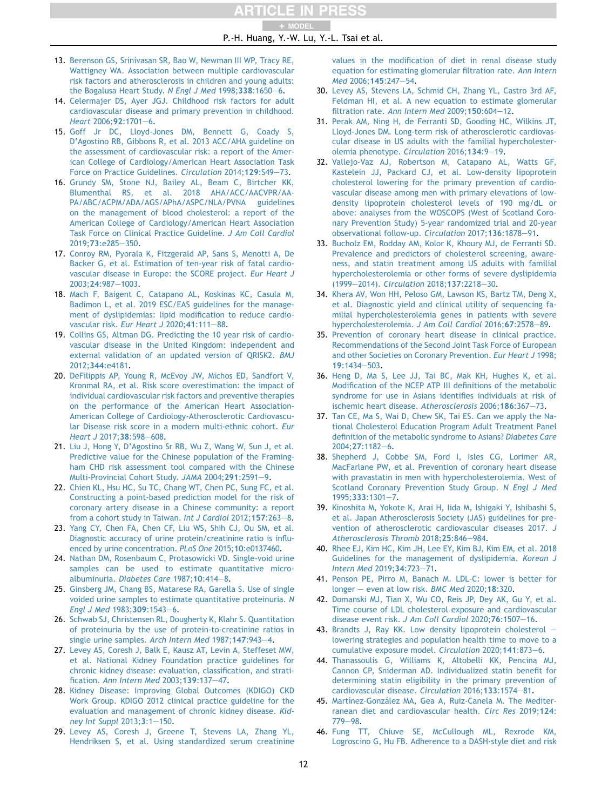TICLE IN PRESS + MODEL

P.-H. Huang, Y.-W. Lu, Y.-L. Tsai et al.

- <span id="page-11-0"></span>13. [Berenson GS, Srinivasan SR, Bao W, Newman III WP, Tracy RE,](http://refhub.elsevier.com/S0929-6646(22)00215-7/sref13) [Wattigney WA. Association between multiple cardiovascular](http://refhub.elsevier.com/S0929-6646(22)00215-7/sref13) [risk factors and atherosclerosis in children and young adults:](http://refhub.elsevier.com/S0929-6646(22)00215-7/sref13) [the Bogalusa Heart Study.](http://refhub.elsevier.com/S0929-6646(22)00215-7/sref13) N Engl J Med 1998;338:1650-[6.](http://refhub.elsevier.com/S0929-6646(22)00215-7/sref13)
- <span id="page-11-1"></span>14. [Celermajer DS, Ayer JGJ. Childhood risk factors for adult](http://refhub.elsevier.com/S0929-6646(22)00215-7/sref14) [cardiovascular disease and primary prevention in childhood.](http://refhub.elsevier.com/S0929-6646(22)00215-7/sref14) [Heart](http://refhub.elsevier.com/S0929-6646(22)00215-7/sref14) 2006;92:1701-[6.](http://refhub.elsevier.com/S0929-6646(22)00215-7/sref14)
- <span id="page-11-2"></span>15. [Goff Jr DC, Lloyd-Jones DM, Bennett G, Coady S,](http://refhub.elsevier.com/S0929-6646(22)00215-7/sref15) [D'Agostino RB, Gibbons R, et al. 2013 ACC/AHA guideline on](http://refhub.elsevier.com/S0929-6646(22)00215-7/sref15) [the assessment of cardiovascular risk: a report of the Amer](http://refhub.elsevier.com/S0929-6646(22)00215-7/sref15)[ican College of Cardiology/American Heart Association Task](http://refhub.elsevier.com/S0929-6646(22)00215-7/sref15) [Force on Practice Guidelines.](http://refhub.elsevier.com/S0929-6646(22)00215-7/sref15) Circulation 2014;129:S49-[73.](http://refhub.elsevier.com/S0929-6646(22)00215-7/sref15)
- <span id="page-11-3"></span>16. [Grundy SM, Stone NJ, Bailey AL, Beam C, Birtcher KK,](http://refhub.elsevier.com/S0929-6646(22)00215-7/sref16) [Blumenthal RS, et al. 2018 AHA/ACC/AACVPR/AA-](http://refhub.elsevier.com/S0929-6646(22)00215-7/sref16)[PA/ABC/ACPM/ADA/AGS/APhA/ASPC/NLA/PVNA guidelines](http://refhub.elsevier.com/S0929-6646(22)00215-7/sref16) [on the management of blood cholesterol: a report of the](http://refhub.elsevier.com/S0929-6646(22)00215-7/sref16) [American College of Cardiology/American Heart Association](http://refhub.elsevier.com/S0929-6646(22)00215-7/sref16) [Task Force on Clinical Practice Guideline.](http://refhub.elsevier.com/S0929-6646(22)00215-7/sref16) J Am Coll Cardiol 2019:73[:e285](http://refhub.elsevier.com/S0929-6646(22)00215-7/sref16)-[350](http://refhub.elsevier.com/S0929-6646(22)00215-7/sref16).
- <span id="page-11-4"></span>17. [Conroy RM, Pyorala K, Fitzgerald AP, Sans S, Menotti A, De](http://refhub.elsevier.com/S0929-6646(22)00215-7/sref17) [Backer G, et al. Estimation of ten-year risk of fatal cardio](http://refhub.elsevier.com/S0929-6646(22)00215-7/sref17)[vascular disease in Europe: the SCORE project.](http://refhub.elsevier.com/S0929-6646(22)00215-7/sref17) Eur Heart J 2003:24:987-[1003.](http://refhub.elsevier.com/S0929-6646(22)00215-7/sref17)
- <span id="page-11-5"></span>18. [Mach F, Baigent C, Catapano AL, Koskinas KC, Casula M,](http://refhub.elsevier.com/S0929-6646(22)00215-7/sref18) [Badimon L, et al. 2019 ESC/EAS guidelines for the manage](http://refhub.elsevier.com/S0929-6646(22)00215-7/sref18)[ment of dyslipidemias: lipid modification to reduce cardio](http://refhub.elsevier.com/S0929-6646(22)00215-7/sref18)[vascular risk.](http://refhub.elsevier.com/S0929-6646(22)00215-7/sref18) Eur Heart J 2020;  $41:111-88$  $41:111-88$ .
- <span id="page-11-6"></span>19. [Collins GS, Altman DG. Predicting the 10 year risk of cardio](http://refhub.elsevier.com/S0929-6646(22)00215-7/sref19)[vascular disease in the United Kingdom: independent and](http://refhub.elsevier.com/S0929-6646(22)00215-7/sref19) [external validation of an updated version of QRISK2.](http://refhub.elsevier.com/S0929-6646(22)00215-7/sref19) BMJ 2012;344[:e4181.](http://refhub.elsevier.com/S0929-6646(22)00215-7/sref19)
- <span id="page-11-7"></span>20. [DeFilippis AP, Young R, McEvoy JW, Michos ED, Sandfort V,](http://refhub.elsevier.com/S0929-6646(22)00215-7/sref20) [Kronmal RA, et al. Risk score overestimation: the impact of](http://refhub.elsevier.com/S0929-6646(22)00215-7/sref20) [individual cardiovascular risk factors and preventive therapies](http://refhub.elsevier.com/S0929-6646(22)00215-7/sref20) [on the performance of the American Heart Association-](http://refhub.elsevier.com/S0929-6646(22)00215-7/sref20)[American College of Cardiology-Atherosclerotic Cardiovascu](http://refhub.elsevier.com/S0929-6646(22)00215-7/sref20)[lar Disease risk score in a modern multi-ethnic cohort.](http://refhub.elsevier.com/S0929-6646(22)00215-7/sref20) Eur [Heart J](http://refhub.elsevier.com/S0929-6646(22)00215-7/sref20) 2017;38:598-[608](http://refhub.elsevier.com/S0929-6646(22)00215-7/sref20).
- <span id="page-11-8"></span>21. [Liu J, Hong Y, D'Agostino Sr RB, Wu Z, Wang W, Sun J, et al.](http://refhub.elsevier.com/S0929-6646(22)00215-7/sref21) [Predictive value for the Chinese population of the Framing](http://refhub.elsevier.com/S0929-6646(22)00215-7/sref21)[ham CHD risk assessment tool compared with the Chinese](http://refhub.elsevier.com/S0929-6646(22)00215-7/sref21) [Multi-Provincial Cohort Study.](http://refhub.elsevier.com/S0929-6646(22)00215-7/sref21) JAMA 2004;2[9](http://refhub.elsevier.com/S0929-6646(22)00215-7/sref21)1:2591-9.
- <span id="page-11-9"></span>22. [Chien KL, Hsu HC, Su TC, Chang WT, Chen PC, Sung FC, et al.](http://refhub.elsevier.com/S0929-6646(22)00215-7/sref22) [Constructing a point-based prediction model for the risk of](http://refhub.elsevier.com/S0929-6646(22)00215-7/sref22) [coronary artery disease in a Chinese community: a report](http://refhub.elsevier.com/S0929-6646(22)00215-7/sref22) [from a cohort study in Taiwan.](http://refhub.elsevier.com/S0929-6646(22)00215-7/sref22) Int J Cardiol 2012;157:263-[8.](http://refhub.elsevier.com/S0929-6646(22)00215-7/sref22)
- <span id="page-11-10"></span>23. [Yang CY, Chen FA, Chen CF, Liu WS, Shih CJ, Ou SM, et al.](http://refhub.elsevier.com/S0929-6646(22)00215-7/sref23) [Diagnostic accuracy of urine protein/creatinine ratio is influ](http://refhub.elsevier.com/S0929-6646(22)00215-7/sref23)[enced by urine concentration.](http://refhub.elsevier.com/S0929-6646(22)00215-7/sref23) PLoS One 2015;10:e0137460.
- 24. [Nathan DM, Rosenbaum C, Protasowicki VD. Single-void urine](http://refhub.elsevier.com/S0929-6646(22)00215-7/sref24) [samples can be used to estimate quantitative micro-](http://refhub.elsevier.com/S0929-6646(22)00215-7/sref24)albuminuria. [Diabetes Care](http://refhub.elsevier.com/S0929-6646(22)00215-7/sref24) 1987;10:414-[8.](http://refhub.elsevier.com/S0929-6646(22)00215-7/sref24)
- 25. [Ginsberg JM, Chang BS, Matarese RA, Garella S. Use of single](http://refhub.elsevier.com/S0929-6646(22)00215-7/sref25) [voided urine samples to estimate quantitative proteinuria.](http://refhub.elsevier.com/S0929-6646(22)00215-7/sref25) N [Engl J Med](http://refhub.elsevier.com/S0929-6646(22)00215-7/sref25) 1983;309:1543-[6](http://refhub.elsevier.com/S0929-6646(22)00215-7/sref25).
- 26. [Schwab SJ, Christensen RL, Dougherty K, Klahr S. Quantitation](http://refhub.elsevier.com/S0929-6646(22)00215-7/sref26) [of proteinuria by the use of protein-to-creatinine ratios in](http://refhub.elsevier.com/S0929-6646(22)00215-7/sref26) [single urine samples.](http://refhub.elsevier.com/S0929-6646(22)00215-7/sref26) Arch Intern Med  $1987;147:943-4$ .
- <span id="page-11-11"></span>27. [Levey AS, Coresh J, Balk E, Kausz AT, Levin A, Steffeset MW,](http://refhub.elsevier.com/S0929-6646(22)00215-7/sref27) [et al. National Kidney Foundation practice guidelines for](http://refhub.elsevier.com/S0929-6646(22)00215-7/sref27) [chronic kidney disease: evaluation, classification, and strati-](http://refhub.elsevier.com/S0929-6646(22)00215-7/sref27)fication. [Ann Intern Med](http://refhub.elsevier.com/S0929-6646(22)00215-7/sref27)  $2003:139:137-47$  $2003:139:137-47$ .
- <span id="page-11-12"></span>28. [Kidney Disease: Improving Global Outcomes \(KDIGO\) CKD](http://refhub.elsevier.com/S0929-6646(22)00215-7/sref28) [Work Group. KDIGO 2012 clinical practice guideline for the](http://refhub.elsevier.com/S0929-6646(22)00215-7/sref28) [evaluation and management of chronic kidney disease.](http://refhub.elsevier.com/S0929-6646(22)00215-7/sref28) Kid[ney Int Suppl](http://refhub.elsevier.com/S0929-6646(22)00215-7/sref28) 2013;3:1-[150](http://refhub.elsevier.com/S0929-6646(22)00215-7/sref28).
- <span id="page-11-13"></span>29. [Levey AS, Coresh J, Greene T, Stevens LA, Zhang YL,](http://refhub.elsevier.com/S0929-6646(22)00215-7/sref29) [Hendriksen S, et al. Using standardized serum creatinine](http://refhub.elsevier.com/S0929-6646(22)00215-7/sref29)

[values in the modification of diet in renal disease study](http://refhub.elsevier.com/S0929-6646(22)00215-7/sref29) [equation for estimating glomerular filtration rate.](http://refhub.elsevier.com/S0929-6646(22)00215-7/sref29) Ann Intern Med [2006;](http://refhub.elsevier.com/S0929-6646(22)00215-7/sref29)145:247-[54.](http://refhub.elsevier.com/S0929-6646(22)00215-7/sref29)

- <span id="page-11-14"></span>30. [Levey AS, Stevens LA, Schmid CH, Zhang YL, Castro 3rd AF,](http://refhub.elsevier.com/S0929-6646(22)00215-7/sref30) [Feldman HI, et al. A new equation to estimate glomerular](http://refhub.elsevier.com/S0929-6646(22)00215-7/sref30) filtration rate. [Ann Intern Med](http://refhub.elsevier.com/S0929-6646(22)00215-7/sref30)  $2009;150:604-12$  $2009;150:604-12$ .
- <span id="page-11-15"></span>31. [Perak AM, Ning H, de Ferranti SD, Gooding HC, Wilkins JT,](http://refhub.elsevier.com/S0929-6646(22)00215-7/sref31) [Lloyd-Jones DM. Long-term risk of atherosclerotic cardiovas](http://refhub.elsevier.com/S0929-6646(22)00215-7/sref31)[cular disease in US adults with the familial hypercholester](http://refhub.elsevier.com/S0929-6646(22)00215-7/sref31)[olemia phenotype.](http://refhub.elsevier.com/S0929-6646(22)00215-7/sref31) Circulation 2016:134:9-[19.](http://refhub.elsevier.com/S0929-6646(22)00215-7/sref31)
- <span id="page-11-16"></span>32. [Vallejo-Vaz AJ, Robertson M, Catapano AL, Watts GF,](http://refhub.elsevier.com/S0929-6646(22)00215-7/sref32) [Kastelein JJ, Packard CJ, et al. Low-density lipoprotein](http://refhub.elsevier.com/S0929-6646(22)00215-7/sref32) [cholesterol lowering for the primary prevention of cardio](http://refhub.elsevier.com/S0929-6646(22)00215-7/sref32)[vascular disease among men with primary elevations of low](http://refhub.elsevier.com/S0929-6646(22)00215-7/sref32)[density lipoprotein cholesterol levels of 190 mg/dL or](http://refhub.elsevier.com/S0929-6646(22)00215-7/sref32) [above: analyses from the WOSCOPS \(West of Scotland Coro](http://refhub.elsevier.com/S0929-6646(22)00215-7/sref32)[nary Prevention Study\) 5-year randomized trial and 20-year](http://refhub.elsevier.com/S0929-6646(22)00215-7/sref32) [observational follow-up.](http://refhub.elsevier.com/S0929-6646(22)00215-7/sref32) Circulation 2017;136:1878-[91](http://refhub.elsevier.com/S0929-6646(22)00215-7/sref32).
- <span id="page-11-17"></span>33. [Bucholz EM, Rodday AM, Kolor K, Khoury MJ, de Ferranti SD.](http://refhub.elsevier.com/S0929-6646(22)00215-7/sref33) [Prevalence and predictors of cholesterol screening, aware](http://refhub.elsevier.com/S0929-6646(22)00215-7/sref33)[ness, and statin treatment among US adults with familial](http://refhub.elsevier.com/S0929-6646(22)00215-7/sref33) [hypercholesterolemia or other forms of severe dyslipidemia](http://refhub.elsevier.com/S0929-6646(22)00215-7/sref33) [\(1999](http://refhub.elsevier.com/S0929-6646(22)00215-7/sref33)-2014). [Circulation](http://refhub.elsevier.com/S0929-6646(22)00215-7/sref33) 2018;137:2218-[30.](http://refhub.elsevier.com/S0929-6646(22)00215-7/sref33)
- <span id="page-11-18"></span>34. [Khera AV, Won HH, Peloso GM, Lawson KS, Bartz TM, Deng X,](http://refhub.elsevier.com/S0929-6646(22)00215-7/sref34) [et al. Diagnostic yield and clinical utility of sequencing fa](http://refhub.elsevier.com/S0929-6646(22)00215-7/sref34)[milial hypercholesterolemia genes in patients with severe](http://refhub.elsevier.com/S0929-6646(22)00215-7/sref34) [hypercholesterolemia.](http://refhub.elsevier.com/S0929-6646(22)00215-7/sref34) J Am Coll Cardiol 2016;67:2578-[89](http://refhub.elsevier.com/S0929-6646(22)00215-7/sref34).
- <span id="page-11-19"></span>35. [Prevention of coronary heart disease in clinical practice.](http://refhub.elsevier.com/S0929-6646(22)00215-7/sref35) [Recommendations of the Second Joint Task Force of European](http://refhub.elsevier.com/S0929-6646(22)00215-7/sref35) [and other Societies on Coronary Prevention.](http://refhub.elsevier.com/S0929-6646(22)00215-7/sref35) Eur Heart J 1998;  $19:1434 - 503$  $19:1434 - 503$  $19:1434 - 503$ .
- <span id="page-11-20"></span>36. [Heng D, Ma S, Lee JJ, Tai BC, Mak KH, Hughes K, et al.](http://refhub.elsevier.com/S0929-6646(22)00215-7/sref36) [Modification of the NCEP ATP III definitions of the metabolic](http://refhub.elsevier.com/S0929-6646(22)00215-7/sref36) [syndrome for use in Asians identifies individuals at risk of](http://refhub.elsevier.com/S0929-6646(22)00215-7/sref36) [ischemic heart disease.](http://refhub.elsevier.com/S0929-6646(22)00215-7/sref36) Atherosclerosis 2006;186:367-[73](http://refhub.elsevier.com/S0929-6646(22)00215-7/sref36).
- <span id="page-11-21"></span>37. [Tan CE, Ma S, Wai D, Chew SK, Tai ES. Can we apply the Na](http://refhub.elsevier.com/S0929-6646(22)00215-7/sref37)[tional Cholesterol Education Program Adult Treatment Panel](http://refhub.elsevier.com/S0929-6646(22)00215-7/sref37) [definition of the metabolic syndrome to Asians?](http://refhub.elsevier.com/S0929-6646(22)00215-7/sref37) Diabetes Care  $2004:27:1182-6.$  $2004:27:1182-6.$
- <span id="page-11-22"></span>38. [Shepherd J, Cobbe SM, Ford I, Isles CG, Lorimer AR,](http://refhub.elsevier.com/S0929-6646(22)00215-7/sref38) [MacFarlane PW, et al. Prevention of coronary heart disease](http://refhub.elsevier.com/S0929-6646(22)00215-7/sref38) [with pravastatin in men with hypercholesterolemia. West of](http://refhub.elsevier.com/S0929-6646(22)00215-7/sref38) [Scotland Coronary Prevention Study Group.](http://refhub.elsevier.com/S0929-6646(22)00215-7/sref38) N Engl J Med  $1995:333:1301 - 7$  $1995:333:1301 - 7$
- <span id="page-11-23"></span>39. [Kinoshita M, Yokote K, Arai H, Iida M, Ishigaki Y, Ishibashi S,](http://refhub.elsevier.com/S0929-6646(22)00215-7/sref39) [et al. Japan Atherosclerosis Society \(JAS\) guidelines for pre](http://refhub.elsevier.com/S0929-6646(22)00215-7/sref39)[vention of atherosclerotic cardiovascular diseases 2017.](http://refhub.elsevier.com/S0929-6646(22)00215-7/sref39) J [Atherosclerosis Thromb](http://refhub.elsevier.com/S0929-6646(22)00215-7/sref39) 2018;25:846-[984.](http://refhub.elsevier.com/S0929-6646(22)00215-7/sref39)
- <span id="page-11-24"></span>40. [Rhee EJ, Kim HC, Kim JH, Lee EY, Kim BJ, Kim EM, et al. 2018](http://refhub.elsevier.com/S0929-6646(22)00215-7/sref40) [Guidelines for the management of dyslipidemia.](http://refhub.elsevier.com/S0929-6646(22)00215-7/sref40) Korean J [Intern Med](http://refhub.elsevier.com/S0929-6646(22)00215-7/sref40) 2019;34:723-[71.](http://refhub.elsevier.com/S0929-6646(22)00215-7/sref40)
- <span id="page-11-25"></span>41. [Penson PE, Pirro M, Banach M. LDL-C: lower is better for](http://refhub.elsevier.com/S0929-6646(22)00215-7/sref41)  $longer - even$  $longer - even$  at low risk. BMC Med 2020:18:320.
- <span id="page-11-26"></span>42. [Domanski MJ, Tian X, Wu CO, Reis JP, Dey AK, Gu Y, et al.](http://refhub.elsevier.com/S0929-6646(22)00215-7/sref42) [Time course of LDL cholesterol exposure and cardiovascular](http://refhub.elsevier.com/S0929-6646(22)00215-7/sref42) [disease event risk.](http://refhub.elsevier.com/S0929-6646(22)00215-7/sref42) J Am Coll Cardiol 2020;76:1507-[16](http://refhub.elsevier.com/S0929-6646(22)00215-7/sref42).
- <span id="page-11-27"></span>43. [Brandts J, Ray KK. Low density lipoprotein cholesterol](http://refhub.elsevier.com/S0929-6646(22)00215-7/sref43)  $$ [lowering strategies and population health time to move to a](http://refhub.elsevier.com/S0929-6646(22)00215-7/sref43) [cumulative exposure model.](http://refhub.elsevier.com/S0929-6646(22)00215-7/sref43) Circulation 2020;141:873-[6.](http://refhub.elsevier.com/S0929-6646(22)00215-7/sref43)
- <span id="page-11-28"></span>44. [Thanassoulis G, Williams K, Altobelli KK, Pencina MJ,](http://refhub.elsevier.com/S0929-6646(22)00215-7/sref44) [Cannon CP, Sniderman AD. Individualized statin benefit for](http://refhub.elsevier.com/S0929-6646(22)00215-7/sref44) [determining statin eligibility in the primary prevention of](http://refhub.elsevier.com/S0929-6646(22)00215-7/sref44) [cardiovascular disease.](http://refhub.elsevier.com/S0929-6646(22)00215-7/sref44) Circulation 2016;133:1574-[81](http://refhub.elsevier.com/S0929-6646(22)00215-7/sref44).
- <span id="page-11-29"></span>45. Martínez-González [MA, Gea A, Ruiz-Canela M. The Mediter](http://refhub.elsevier.com/S0929-6646(22)00215-7/sref45)[ranean diet and cardiovascular health.](http://refhub.elsevier.com/S0929-6646(22)00215-7/sref45) Circ Res 2019;124: [779](http://refhub.elsevier.com/S0929-6646(22)00215-7/sref45)-[98](http://refhub.elsevier.com/S0929-6646(22)00215-7/sref45).
- 46. [Fung TT, Chiuve SE, McCullough ML, Rexrode KM,](http://refhub.elsevier.com/S0929-6646(22)00215-7/sref46) [Logroscino G, Hu FB. Adherence to a DASH-style diet and risk](http://refhub.elsevier.com/S0929-6646(22)00215-7/sref46)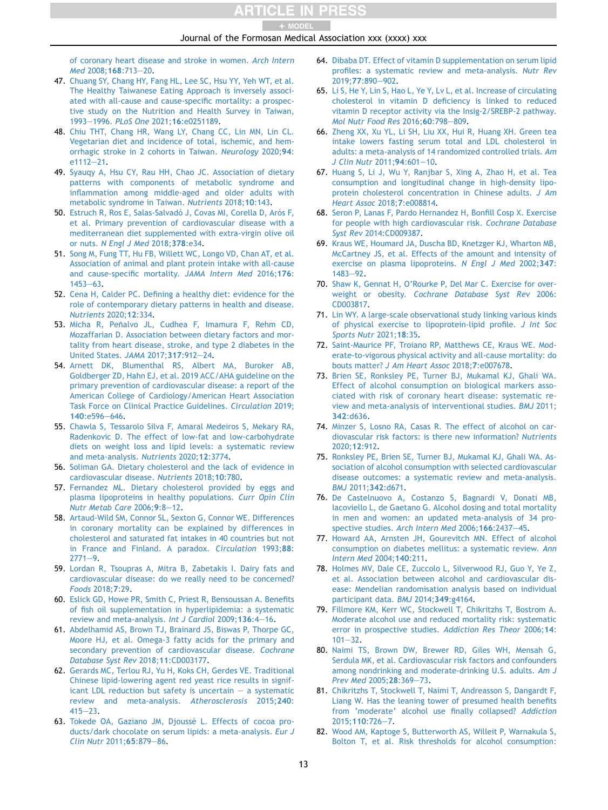#### + MODEL

#### Journal of the Formosan Medical Association xxx (xxxx) xxx

[of coronary heart disease and stroke in women.](http://refhub.elsevier.com/S0929-6646(22)00215-7/sref46) Arch Intern Med [2008;](http://refhub.elsevier.com/S0929-6646(22)00215-7/sref46)168:713-[20.](http://refhub.elsevier.com/S0929-6646(22)00215-7/sref46)

- <span id="page-12-0"></span>47. [Chuang SY, Chang HY, Fang HL, Lee SC, Hsu YY, Yeh WT, et al.](http://refhub.elsevier.com/S0929-6646(22)00215-7/sref47) [The Healthy Taiwanese Eating Approach is inversely associ](http://refhub.elsevier.com/S0929-6646(22)00215-7/sref47)[ated with all-cause and cause-specific mortality: a prospec](http://refhub.elsevier.com/S0929-6646(22)00215-7/sref47)[tive study on the Nutrition and Health Survey in Taiwan,](http://refhub.elsevier.com/S0929-6646(22)00215-7/sref47) [1993](http://refhub.elsevier.com/S0929-6646(22)00215-7/sref47)-1996. PLoS One 2021;16[:e0251189.](http://refhub.elsevier.com/S0929-6646(22)00215-7/sref47)
- 48. [Chiu THT, Chang HR, Wang LY, Chang CC, Lin MN, Lin CL.](http://refhub.elsevier.com/S0929-6646(22)00215-7/sref48) [Vegetarian diet and incidence of total, ischemic, and hem](http://refhub.elsevier.com/S0929-6646(22)00215-7/sref48)[orrhagic stroke in 2 cohorts in Taiwan.](http://refhub.elsevier.com/S0929-6646(22)00215-7/sref48) Neurology 2020;94:  $e1112 - 21$  $e1112 - 21$ .
- <span id="page-12-1"></span>49. [Syauqy A, Hsu CY, Rau HH, Chao JC. Association of dietary](http://refhub.elsevier.com/S0929-6646(22)00215-7/sref49) [patterns with components of metabolic syndrome and](http://refhub.elsevier.com/S0929-6646(22)00215-7/sref49) [inflammation among middle-aged and older adults with](http://refhub.elsevier.com/S0929-6646(22)00215-7/sref49) [metabolic syndrome in Taiwan.](http://refhub.elsevier.com/S0929-6646(22)00215-7/sref49) Nutrients 2018;10:143.
- <span id="page-12-2"></span>50. Estruch R, Ros E, Salas-Salvadó J, Covas MI, Corella D, Arós F, [et al. Primary prevention of cardiovascular disease with a](http://refhub.elsevier.com/S0929-6646(22)00215-7/sref50) [mediterranean diet supplemented with extra-virgin olive oil](http://refhub.elsevier.com/S0929-6646(22)00215-7/sref50) or nuts. [N Engl J Med](http://refhub.elsevier.com/S0929-6646(22)00215-7/sref50) 2018;378:e34.
- 51. [Song M, Fung TT, Hu FB, Willett WC, Longo VD, Chan AT, et al.](http://refhub.elsevier.com/S0929-6646(22)00215-7/sref51) [Association of animal and plant protein intake with all-cause](http://refhub.elsevier.com/S0929-6646(22)00215-7/sref51) [and cause-specific mortality.](http://refhub.elsevier.com/S0929-6646(22)00215-7/sref51) JAMA Intern Med 2016;176:  $1453 - 63.$  $1453 - 63.$  $1453 - 63.$  $1453 - 63.$
- 52. [Cena H, Calder PC. Defining a healthy diet: evidence for the](http://refhub.elsevier.com/S0929-6646(22)00215-7/sref52) [role of contemporary dietary patterns in health and disease.](http://refhub.elsevier.com/S0929-6646(22)00215-7/sref52) [Nutrients](http://refhub.elsevier.com/S0929-6646(22)00215-7/sref52) 2020;12:334.
- 53. Micha R, Peñalvo JL, Cudhea F, Imamura F, Rehm CD, [Mozaffarian D. Association between dietary factors and mor](http://refhub.elsevier.com/S0929-6646(22)00215-7/sref53)[tality from heart disease, stroke, and type 2 diabetes in the](http://refhub.elsevier.com/S0929-6646(22)00215-7/sref53) [United States.](http://refhub.elsevier.com/S0929-6646(22)00215-7/sref53) JAMA 2017;317:912-[24](http://refhub.elsevier.com/S0929-6646(22)00215-7/sref53).
- <span id="page-12-20"></span>54. [Arnett DK, Blumenthal RS, Albert MA, Buroker AB,](http://refhub.elsevier.com/S0929-6646(22)00215-7/sref54) [Goldberger ZD, Hahn EJ, et al. 2019 ACC/AHA guideline on the](http://refhub.elsevier.com/S0929-6646(22)00215-7/sref54) [primary prevention of cardiovascular disease: a report of the](http://refhub.elsevier.com/S0929-6646(22)00215-7/sref54) [American College of Cardiology/American Heart Association](http://refhub.elsevier.com/S0929-6646(22)00215-7/sref54) [Task Force on Clinical Practice Guidelines.](http://refhub.elsevier.com/S0929-6646(22)00215-7/sref54) Circulation 2019; 140[:e596](http://refhub.elsevier.com/S0929-6646(22)00215-7/sref54)-[646](http://refhub.elsevier.com/S0929-6646(22)00215-7/sref54).
- <span id="page-12-3"></span>55. [Chawla S, Tessarolo Silva F, Amaral Medeiros S, Mekary RA,](http://refhub.elsevier.com/S0929-6646(22)00215-7/sref55) [Radenkovic D. The effect of low-fat and low-carbohydrate](http://refhub.elsevier.com/S0929-6646(22)00215-7/sref55) [diets on weight loss and lipid levels: a systematic review](http://refhub.elsevier.com/S0929-6646(22)00215-7/sref55) [and meta-analysis.](http://refhub.elsevier.com/S0929-6646(22)00215-7/sref55) Nutrients 2020;12:3774.
- <span id="page-12-4"></span>56. [Soliman GA. Dietary cholesterol and the lack of evidence in](http://refhub.elsevier.com/S0929-6646(22)00215-7/sref56) [cardiovascular disease.](http://refhub.elsevier.com/S0929-6646(22)00215-7/sref56) Nutrients 2018;10:780.
- <span id="page-12-5"></span>57. [Fernandez ML. Dietary cholesterol provided by eggs and](http://refhub.elsevier.com/S0929-6646(22)00215-7/sref57) [plasma lipoproteins in healthy populations.](http://refhub.elsevier.com/S0929-6646(22)00215-7/sref57) Curr Opin Clin [Nutr Metab Care](http://refhub.elsevier.com/S0929-6646(22)00215-7/sref57)  $2006:9:8-12$ .
- <span id="page-12-6"></span>58. [Artaud-Wild SM, Connor SL, Sexton G, Connor WE. Differences](http://refhub.elsevier.com/S0929-6646(22)00215-7/sref58) [in coronary mortality can be explained by differences in](http://refhub.elsevier.com/S0929-6646(22)00215-7/sref58) [cholesterol and saturated fat intakes in 40 countries but not](http://refhub.elsevier.com/S0929-6646(22)00215-7/sref58) [in France and Finland. A paradox.](http://refhub.elsevier.com/S0929-6646(22)00215-7/sref58) Circulation 1993;88:  $2771 - 9.$  $2771 - 9.$  $2771 - 9.$  $2771 - 9.$
- <span id="page-12-7"></span>59. [Lordan R, Tsoupras A, Mitra B, Zabetakis I. Dairy fats and](http://refhub.elsevier.com/S0929-6646(22)00215-7/sref59) [cardiovascular disease: do we really need to be concerned?](http://refhub.elsevier.com/S0929-6646(22)00215-7/sref59) [Foods](http://refhub.elsevier.com/S0929-6646(22)00215-7/sref59) 2018;7:29.
- <span id="page-12-8"></span>60. [Eslick GD, Howe PR, Smith C, Priest R, Bensoussan A. Benefits](http://refhub.elsevier.com/S0929-6646(22)00215-7/sref60) [of fish oil supplementation in hyperlipidemia: a systematic](http://refhub.elsevier.com/S0929-6646(22)00215-7/sref60) [review and meta-analysis.](http://refhub.elsevier.com/S0929-6646(22)00215-7/sref60) Int J Cardiol 2009;136:4-[16.](http://refhub.elsevier.com/S0929-6646(22)00215-7/sref60)
- <span id="page-12-9"></span>61. [Abdelhamid AS, Brown TJ, Brainard JS, Biswas P, Thorpe GC,](http://refhub.elsevier.com/S0929-6646(22)00215-7/sref61) [Moore HJ, et al. Omega-3 fatty acids for the primary and](http://refhub.elsevier.com/S0929-6646(22)00215-7/sref61) [secondary prevention of cardiovascular disease.](http://refhub.elsevier.com/S0929-6646(22)00215-7/sref61) Cochrane [Database Syst Rev](http://refhub.elsevier.com/S0929-6646(22)00215-7/sref61) 2018;11:CD003177.
- <span id="page-12-10"></span>62. [Gerards MC, Terlou RJ, Yu H, Koks CH, Gerdes VE. Traditional](http://refhub.elsevier.com/S0929-6646(22)00215-7/sref62) [Chinese lipid-lowering agent red yeast rice results in signif](http://refhub.elsevier.com/S0929-6646(22)00215-7/sref62)[icant LDL reduction but safety is uncertain](http://refhub.elsevier.com/S0929-6646(22)00215-7/sref62)  $-$  [a systematic](http://refhub.elsevier.com/S0929-6646(22)00215-7/sref62) [review and meta-analysis.](http://refhub.elsevier.com/S0929-6646(22)00215-7/sref62) Atherosclerosis 2015;240:  $415 - 23.$  $415 - 23.$  $415 - 23.$  $415 - 23.$
- <span id="page-12-11"></span>63. Tokede OA, Gaziano JM, Djoussé L. Effects of cocoa pro[ducts/dark chocolate on serum lipids: a meta-analysis.](http://refhub.elsevier.com/S0929-6646(22)00215-7/sref63) Eur J [Clin Nutr](http://refhub.elsevier.com/S0929-6646(22)00215-7/sref63) 2011;65:879-[86](http://refhub.elsevier.com/S0929-6646(22)00215-7/sref63).
- <span id="page-12-12"></span>64. [Dibaba DT. Effect of vitamin D supplementation on serum lipid](http://refhub.elsevier.com/S0929-6646(22)00215-7/sref64) [profiles: a systematic review and meta-analysis.](http://refhub.elsevier.com/S0929-6646(22)00215-7/sref64) Nutr Rev 2019:77:890-[902.](http://refhub.elsevier.com/S0929-6646(22)00215-7/sref64)
- <span id="page-12-13"></span>65. [Li S, He Y, Lin S, Hao L, Ye Y, Lv L, et al. Increase of circulating](http://refhub.elsevier.com/S0929-6646(22)00215-7/sref65) [cholesterol in vitamin D deficiency is linked to reduced](http://refhub.elsevier.com/S0929-6646(22)00215-7/sref65) [vitamin D receptor activity via the Insig-2/SREBP-2 pathway.](http://refhub.elsevier.com/S0929-6646(22)00215-7/sref65) [Mol Nutr Food Res](http://refhub.elsevier.com/S0929-6646(22)00215-7/sref65) 2016;60:798-[809](http://refhub.elsevier.com/S0929-6646(22)00215-7/sref65).
- <span id="page-12-14"></span>66. [Zheng XX, Xu YL, Li SH, Liu XX, Hui R, Huang XH. Green tea](http://refhub.elsevier.com/S0929-6646(22)00215-7/sref66) [intake lowers fasting serum total and LDL cholesterol in](http://refhub.elsevier.com/S0929-6646(22)00215-7/sref66) [adults: a meta-analysis of 14 randomized controlled trials.](http://refhub.elsevier.com/S0929-6646(22)00215-7/sref66) Am [J Clin Nutr](http://refhub.elsevier.com/S0929-6646(22)00215-7/sref66) 2011;94:601-[10.](http://refhub.elsevier.com/S0929-6646(22)00215-7/sref66)
- <span id="page-12-15"></span>67. [Huang S, Li J, Wu Y, Ranjbar S, Xing A, Zhao H, et al. Tea](http://refhub.elsevier.com/S0929-6646(22)00215-7/sref67) [consumption and longitudinal change in high-density lipo](http://refhub.elsevier.com/S0929-6646(22)00215-7/sref67)[protein cholesterol concentration in Chinese adults.](http://refhub.elsevier.com/S0929-6646(22)00215-7/sref67) J Am [Heart Assoc](http://refhub.elsevier.com/S0929-6646(22)00215-7/sref67) 2018;7:e008814.
- <span id="page-12-16"></span>68. [Seron P, Lanas F, Pardo Hernandez H, Bonfill Cosp X. Exercise](http://refhub.elsevier.com/S0929-6646(22)00215-7/sref68) [for people with high cardiovascular risk.](http://refhub.elsevier.com/S0929-6646(22)00215-7/sref68) Cochrane Database Syst Rev [2014:CD009387.](http://refhub.elsevier.com/S0929-6646(22)00215-7/sref68)
- <span id="page-12-17"></span>69. [Kraus WE, Houmard JA, Duscha BD, Knetzger KJ, Wharton MB,](http://refhub.elsevier.com/S0929-6646(22)00215-7/sref69) [McCartney JS, et al. Effects of the amount and intensity of](http://refhub.elsevier.com/S0929-6646(22)00215-7/sref69) [exercise on plasma lipoproteins.](http://refhub.elsevier.com/S0929-6646(22)00215-7/sref69) N Engl J Med 2002;347: [1483](http://refhub.elsevier.com/S0929-6646(22)00215-7/sref69)-[92](http://refhub.elsevier.com/S0929-6646(22)00215-7/sref69)
- <span id="page-12-18"></span>70. [Shaw K, Gennat H, O'Rourke P, Del Mar C. Exercise for over](http://refhub.elsevier.com/S0929-6646(22)00215-7/sref70)weight or obesity. [Cochrane Database Syst Rev](http://refhub.elsevier.com/S0929-6646(22)00215-7/sref70) 2006: [CD003817.](http://refhub.elsevier.com/S0929-6646(22)00215-7/sref70)
- <span id="page-12-19"></span>71. [Lin WY. A large-scale observational study linking various kinds](http://refhub.elsevier.com/S0929-6646(22)00215-7/sref71) [of physical exercise to lipoprotein-lipid profile.](http://refhub.elsevier.com/S0929-6646(22)00215-7/sref71) J Int Soc [Sports Nutr](http://refhub.elsevier.com/S0929-6646(22)00215-7/sref71) 2021;18:35.
- <span id="page-12-21"></span>72. [Saint-Maurice PF, Troiano RP, Matthews CE, Kraus WE. Mod](http://refhub.elsevier.com/S0929-6646(22)00215-7/sref72)[erate-to-vigorous physical activity and all-cause mortality: do](http://refhub.elsevier.com/S0929-6646(22)00215-7/sref72) bouts matter? [J Am Heart Assoc](http://refhub.elsevier.com/S0929-6646(22)00215-7/sref72) 2018;7:e007678.
- <span id="page-12-22"></span>73. [Brien SE, Ronksley PE, Turner BJ, Mukamal KJ, Ghali WA.](http://refhub.elsevier.com/S0929-6646(22)00215-7/sref73) [Effect of alcohol consumption on biological markers asso](http://refhub.elsevier.com/S0929-6646(22)00215-7/sref73)[ciated with risk of coronary heart disease: systematic re](http://refhub.elsevier.com/S0929-6646(22)00215-7/sref73)[view and meta-analysis of interventional studies.](http://refhub.elsevier.com/S0929-6646(22)00215-7/sref73) BMJ 2011; 342[:d636.](http://refhub.elsevier.com/S0929-6646(22)00215-7/sref73)
- <span id="page-12-23"></span>74. [Minzer S, Losno RA, Casas R. The effect of alcohol on car](http://refhub.elsevier.com/S0929-6646(22)00215-7/sref74)[diovascular risk factors: is there new information?](http://refhub.elsevier.com/S0929-6646(22)00215-7/sref74) Nutrients [2020;](http://refhub.elsevier.com/S0929-6646(22)00215-7/sref74)12:912.
- <span id="page-12-24"></span>75. [Ronksley PE, Brien SE, Turner BJ, Mukamal KJ, Ghali WA. As](http://refhub.elsevier.com/S0929-6646(22)00215-7/sref75)[sociation of alcohol consumption with selected cardiovascular](http://refhub.elsevier.com/S0929-6646(22)00215-7/sref75) [disease outcomes: a systematic review and meta-analysis.](http://refhub.elsevier.com/S0929-6646(22)00215-7/sref75) BMJ 2011;342[:d671.](http://refhub.elsevier.com/S0929-6646(22)00215-7/sref75)
- 76. [De Castelnuovo A, Costanzo S, Bagnardi V, Donati MB,](http://refhub.elsevier.com/S0929-6646(22)00215-7/sref76) [Iacoviello L, de Gaetano G. Alcohol dosing and total mortality](http://refhub.elsevier.com/S0929-6646(22)00215-7/sref76) [in men and women: an updated meta-analysis of 34 pro](http://refhub.elsevier.com/S0929-6646(22)00215-7/sref76)[spective studies.](http://refhub.elsevier.com/S0929-6646(22)00215-7/sref76) Arch Intern Med 2006;166:2437-[45.](http://refhub.elsevier.com/S0929-6646(22)00215-7/sref76)
- 77. [Howard AA, Arnsten JH, Gourevitch MN. Effect of alcohol](http://refhub.elsevier.com/S0929-6646(22)00215-7/sref77) [consumption on diabetes mellitus: a systematic review.](http://refhub.elsevier.com/S0929-6646(22)00215-7/sref77) Ann [Intern Med](http://refhub.elsevier.com/S0929-6646(22)00215-7/sref77) 2004;140:211.
- <span id="page-12-25"></span>78. [Holmes MV, Dale CE, Zuccolo L, Silverwood RJ, Guo Y, Ye Z,](http://refhub.elsevier.com/S0929-6646(22)00215-7/sref78) [et al. Association between alcohol and cardiovascular dis](http://refhub.elsevier.com/S0929-6646(22)00215-7/sref78)[ease: Mendelian randomisation analysis based on individual](http://refhub.elsevier.com/S0929-6646(22)00215-7/sref78) [participant data.](http://refhub.elsevier.com/S0929-6646(22)00215-7/sref78) BMJ 2014;349:g4164.
- 79. [Fillmore KM, Kerr WC, Stockwell T, Chikritzhs T, Bostrom A.](http://refhub.elsevier.com/S0929-6646(22)00215-7/sref79) [Moderate alcohol use and reduced mortality risk: systematic](http://refhub.elsevier.com/S0929-6646(22)00215-7/sref79) [error in prospective studies.](http://refhub.elsevier.com/S0929-6646(22)00215-7/sref79) Addiction Res Theor 2006;14:  $101 - 32$  $101 - 32$  $101 - 32$ .
- 80. [Naimi TS, Brown DW, Brewer RD, Giles WH, Mensah G,](http://refhub.elsevier.com/S0929-6646(22)00215-7/sref80) [Serdula MK, et al. Cardiovascular risk factors and confounders](http://refhub.elsevier.com/S0929-6646(22)00215-7/sref80) [among nondrinking and moderate-drinking U.S. adults.](http://refhub.elsevier.com/S0929-6646(22)00215-7/sref80) Am J [Prev Med](http://refhub.elsevier.com/S0929-6646(22)00215-7/sref80) 2005:28:369-[73.](http://refhub.elsevier.com/S0929-6646(22)00215-7/sref80)
- 81. [Chikritzhs T, Stockwell T, Naimi T, Andreasson S, Dangardt F,](http://refhub.elsevier.com/S0929-6646(22)00215-7/sref81) [Liang W. Has the leaning tower of presumed health benefits](http://refhub.elsevier.com/S0929-6646(22)00215-7/sref81) [from 'moderate' alcohol use finally collapsed?](http://refhub.elsevier.com/S0929-6646(22)00215-7/sref81) Addiction 2015:110:[7](http://refhub.elsevier.com/S0929-6646(22)00215-7/sref81)26-7.
- <span id="page-12-26"></span>82. [Wood AM, Kaptoge S, Butterworth AS, Willeit P, Warnakula S,](http://refhub.elsevier.com/S0929-6646(22)00215-7/sref82) [Bolton T, et al. Risk thresholds for alcohol consumption:](http://refhub.elsevier.com/S0929-6646(22)00215-7/sref82)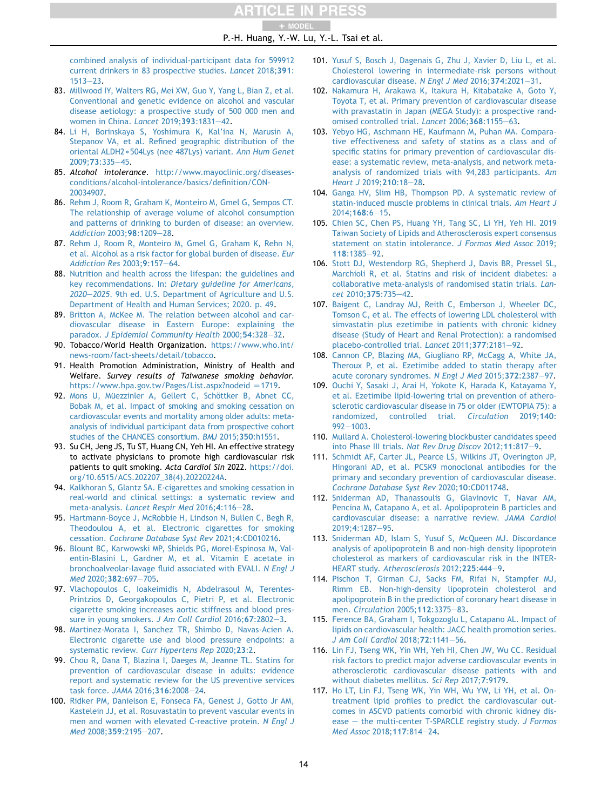P.-H. Huang, Y.-W. Lu, Y.-L. Tsai et al. + MODEL

[combined analysis of individual-participant data for 599912](http://refhub.elsevier.com/S0929-6646(22)00215-7/sref82) [current drinkers in 83 prospective studies.](http://refhub.elsevier.com/S0929-6646(22)00215-7/sref82) Lancet 2018;391:  $1513 - 23.$  $1513 - 23.$  $1513 - 23.$  $1513 - 23.$ 

- <span id="page-13-0"></span>83. [Millwood IY, Walters RG, Mei XW, Guo Y, Yang L, Bian Z, et al.](http://refhub.elsevier.com/S0929-6646(22)00215-7/sref83) [Conventional and genetic evidence on alcohol and vascular](http://refhub.elsevier.com/S0929-6646(22)00215-7/sref83) [disease aetiology: a prospective study of 500 000 men and](http://refhub.elsevier.com/S0929-6646(22)00215-7/sref83) [women in China.](http://refhub.elsevier.com/S0929-6646(22)00215-7/sref83) Lancet 2019;393:1831-[42](http://refhub.elsevier.com/S0929-6646(22)00215-7/sref83).
- <span id="page-13-1"></span>84. [Li H, Borinskaya S, Yoshimura K, Kal'ina N, Marusin A,](http://refhub.elsevier.com/S0929-6646(22)00215-7/sref84) [Stepanov VA, et al. Refined geographic distribution of the](http://refhub.elsevier.com/S0929-6646(22)00215-7/sref84) oriental ALDH2 \* [504Lys \(nee 487Lys\) variant.](http://refhub.elsevier.com/S0929-6646(22)00215-7/sref84) Ann Hum Genet [2009;](http://refhub.elsevier.com/S0929-6646(22)00215-7/sref84)73:335-[45.](http://refhub.elsevier.com/S0929-6646(22)00215-7/sref84)
- <span id="page-13-2"></span>85. Alcohol intolerance. [http://www.mayoclinic.org/diseases](http://www.mayoclinic.org/diseases-conditions/alcohol-intolerance/basics/definition/CON-20034907)[conditions/alcohol-intolerance/basics/definition/CON-](http://www.mayoclinic.org/diseases-conditions/alcohol-intolerance/basics/definition/CON-20034907)[20034907.](http://www.mayoclinic.org/diseases-conditions/alcohol-intolerance/basics/definition/CON-20034907)
- <span id="page-13-3"></span>86. [Rehm J, Room R, Graham K, Monteiro M, Gmel G, Sempos CT.](http://refhub.elsevier.com/S0929-6646(22)00215-7/sref86) [The relationship of average volume of alcohol consumption](http://refhub.elsevier.com/S0929-6646(22)00215-7/sref86) [and patterns of drinking to burden of disease: an overview.](http://refhub.elsevier.com/S0929-6646(22)00215-7/sref86) [Addiction](http://refhub.elsevier.com/S0929-6646(22)00215-7/sref86) 2003;98:1209-[28.](http://refhub.elsevier.com/S0929-6646(22)00215-7/sref86)
- <span id="page-13-4"></span>87. [Rehm J, Room R, Monteiro M, Gmel G, Graham K, Rehn N,](http://refhub.elsevier.com/S0929-6646(22)00215-7/sref87) [et al. Alcohol as a risk factor for global burden of disease.](http://refhub.elsevier.com/S0929-6646(22)00215-7/sref87) Eur [Addiction Res](http://refhub.elsevier.com/S0929-6646(22)00215-7/sref87) 2003;9:157-[64.](http://refhub.elsevier.com/S0929-6646(22)00215-7/sref87)
- <span id="page-13-5"></span>88. [Nutrition and health across the lifespan: the guidelines and](http://refhub.elsevier.com/S0929-6646(22)00215-7/sref88) key recommendations. In: [Dietary guideline for Americans,](http://refhub.elsevier.com/S0929-6646(22)00215-7/sref88) [2020](http://refhub.elsevier.com/S0929-6646(22)00215-7/sref88)-2025[. 9th ed. U.S. Department of Agriculture and U.S.](http://refhub.elsevier.com/S0929-6646(22)00215-7/sref88) [Department of Health and Human Services; 2020. p. 49](http://refhub.elsevier.com/S0929-6646(22)00215-7/sref88).
- <span id="page-13-6"></span>89. [Britton A, McKee M. The relation between alcohol and car](http://refhub.elsevier.com/S0929-6646(22)00215-7/sref89)[diovascular disease in Eastern Europe: explaining the](http://refhub.elsevier.com/S0929-6646(22)00215-7/sref89) paradox. [J Epidemiol Community Health](http://refhub.elsevier.com/S0929-6646(22)00215-7/sref89) 2000;54:[32](http://refhub.elsevier.com/S0929-6646(22)00215-7/sref89)8-32.
- <span id="page-13-7"></span>90. Tobacco/World Health Organization. [https://www.who.int/](https://www.who.int/news-room/fact-sheets/detail/tobacco) [news-room/fact-sheets/detail/tobacco](https://www.who.int/news-room/fact-sheets/detail/tobacco).
- <span id="page-13-8"></span>91. Health Promotion Administration, Ministry of Health and Welfare. Survey results of Taiwanese smoking behavior. [https://www.hpa.gov.tw/Pages/List.aspx?nodeid](https://www.hpa.gov.tw/Pages/List.aspx?nodeid%20=1719) = 1719.
- <span id="page-13-9"></span>92. Mons U, Müezzinler A, Gellert C, Schöttker B, Abnet CC, [Bobak M, et al. Impact of smoking and smoking cessation on](http://refhub.elsevier.com/S0929-6646(22)00215-7/sref92) [cardiovascular events and mortality among older adults: meta](http://refhub.elsevier.com/S0929-6646(22)00215-7/sref92)[analysis of individual participant data from prospective cohort](http://refhub.elsevier.com/S0929-6646(22)00215-7/sref92) [studies of the CHANCES consortium.](http://refhub.elsevier.com/S0929-6646(22)00215-7/sref92) BMJ 2015;350:h1551.
- <span id="page-13-10"></span>93. Su CH, Jeng JS, Tu ST, Huang CN, Yeh HI. An effective strategy to activate physicians to promote high cardiovascular risk patients to quit smoking. Acta Cardiol Sin 2022. [https://doi.](https://doi.org/10.6515/ACS.202207_38(4).20220224A) [org/10.6515/ACS.202207\\_38\(4\).20220224A.](https://doi.org/10.6515/ACS.202207_38(4).20220224A)
- <span id="page-13-11"></span>94. [Kalkhoran S, Glantz SA. E-cigarettes and smoking cessation in](http://refhub.elsevier.com/S0929-6646(22)00215-7/sref94) [real-world and clinical settings: a systematic review and](http://refhub.elsevier.com/S0929-6646(22)00215-7/sref94) meta-analysis. [Lancet Respir Med](http://refhub.elsevier.com/S0929-6646(22)00215-7/sref94) 2016:4:116-[28.](http://refhub.elsevier.com/S0929-6646(22)00215-7/sref94)
- <span id="page-13-12"></span>95. [Hartmann-Boyce J, McRobbie H, Lindson N, Bullen C, Begh R,](http://refhub.elsevier.com/S0929-6646(22)00215-7/sref95) [Theodoulou A, et al. Electronic cigarettes for smoking](http://refhub.elsevier.com/S0929-6646(22)00215-7/sref95) cessation. [Cochrane Database Syst Rev](http://refhub.elsevier.com/S0929-6646(22)00215-7/sref95) 2021;4:CD010216.
- <span id="page-13-13"></span>96. [Blount BC, Karwowski MP, Shields PG, Morel-Espinosa M, Val](http://refhub.elsevier.com/S0929-6646(22)00215-7/sref96)[entin-Blasini L, Gardner M, et al. Vitamin E acetate in](http://refhub.elsevier.com/S0929-6646(22)00215-7/sref96) [bronchoalveolar-lavage fluid associated with EVALI.](http://refhub.elsevier.com/S0929-6646(22)00215-7/sref96) N Engl J Med [2020;](http://refhub.elsevier.com/S0929-6646(22)00215-7/sref96)382:697-[705.](http://refhub.elsevier.com/S0929-6646(22)00215-7/sref96)
- 97. [Vlachopoulos C, Ioakeimidis N, Abdelrasoul M, Terentes-](http://refhub.elsevier.com/S0929-6646(22)00215-7/sref97)[Printzios D, Georgakopoulos C, Pietri P, et al. Electronic](http://refhub.elsevier.com/S0929-6646(22)00215-7/sref97) [cigarette smoking increases aortic stiffness and blood pres](http://refhub.elsevier.com/S0929-6646(22)00215-7/sref97)[sure in young smokers.](http://refhub.elsevier.com/S0929-6646(22)00215-7/sref97) J Am Coll Cardiol 2016;67:2802-[3](http://refhub.elsevier.com/S0929-6646(22)00215-7/sref97).
- 98. [Martinez-Morata I, Sanchez TR, Shimbo D, Navas-Acien A.](http://refhub.elsevier.com/S0929-6646(22)00215-7/sref98) [Electronic cigarette use and blood pressure endpoints: a](http://refhub.elsevier.com/S0929-6646(22)00215-7/sref98) systematic review. [Curr Hypertens Rep](http://refhub.elsevier.com/S0929-6646(22)00215-7/sref98) 2020;23:2.
- <span id="page-13-14"></span>99. [Chou R, Dana T, Blazina I, Daeges M, Jeanne TL. Statins for](http://refhub.elsevier.com/S0929-6646(22)00215-7/sref99) [prevention of cardiovascular disease in adults: evidence](http://refhub.elsevier.com/S0929-6646(22)00215-7/sref99) [report and systematic review for the US preventive services](http://refhub.elsevier.com/S0929-6646(22)00215-7/sref99) [task force.](http://refhub.elsevier.com/S0929-6646(22)00215-7/sref99) JAMA 2016;316:2008-[24](http://refhub.elsevier.com/S0929-6646(22)00215-7/sref99).
- <span id="page-13-15"></span>100. [Ridker PM, Danielson E, Fonseca FA, Genest J, Gotto Jr AM,](http://refhub.elsevier.com/S0929-6646(22)00215-7/sref100) [Kastelein JJ, et al. Rosuvastatin to prevent vascular events in](http://refhub.elsevier.com/S0929-6646(22)00215-7/sref100) [men and women with elevated C-reactive protein.](http://refhub.elsevier.com/S0929-6646(22)00215-7/sref100) N Engl J Med [2008;](http://refhub.elsevier.com/S0929-6646(22)00215-7/sref100)359:2195-[207](http://refhub.elsevier.com/S0929-6646(22)00215-7/sref100).
- <span id="page-13-16"></span>101. [Yusuf S, Bosch J, Dagenais G, Zhu J, Xavier D, Liu L, et al.](http://refhub.elsevier.com/S0929-6646(22)00215-7/sref101) [Cholesterol lowering in intermediate-risk persons without](http://refhub.elsevier.com/S0929-6646(22)00215-7/sref101) [cardiovascular disease.](http://refhub.elsevier.com/S0929-6646(22)00215-7/sref101) N Engl J Med 2016;374:2021-[31](http://refhub.elsevier.com/S0929-6646(22)00215-7/sref101).
- <span id="page-13-17"></span>102. [Nakamura H, Arakawa K, Itakura H, Kitabatake A, Goto Y,](http://refhub.elsevier.com/S0929-6646(22)00215-7/sref102) [Toyota T, et al. Primary prevention of cardiovascular disease](http://refhub.elsevier.com/S0929-6646(22)00215-7/sref102) [with pravastatin in Japan \(MEGA Study\): a prospective rand](http://refhub.elsevier.com/S0929-6646(22)00215-7/sref102)[omised controlled trial.](http://refhub.elsevier.com/S0929-6646(22)00215-7/sref102) Lancet 2006;368:1155-[63](http://refhub.elsevier.com/S0929-6646(22)00215-7/sref102).
- <span id="page-13-18"></span>103. [Yebyo HG, Aschmann HE, Kaufmann M, Puhan MA. Compara](http://refhub.elsevier.com/S0929-6646(22)00215-7/sref103)[tive effectiveness and safety of statins as a class and of](http://refhub.elsevier.com/S0929-6646(22)00215-7/sref103) [specific statins for primary prevention of cardiovascular dis](http://refhub.elsevier.com/S0929-6646(22)00215-7/sref103)[ease: a systematic review, meta-analysis, and network meta](http://refhub.elsevier.com/S0929-6646(22)00215-7/sref103)[analysis of randomized trials with 94,283 participants.](http://refhub.elsevier.com/S0929-6646(22)00215-7/sref103) Am [Heart J](http://refhub.elsevier.com/S0929-6646(22)00215-7/sref103) 2019; 210:18-[28.](http://refhub.elsevier.com/S0929-6646(22)00215-7/sref103)
- <span id="page-13-19"></span>104. [Ganga HV, Slim HB, Thompson PD. A systematic review of](http://refhub.elsevier.com/S0929-6646(22)00215-7/sref104) [statin-induced muscle problems in clinical trials.](http://refhub.elsevier.com/S0929-6646(22)00215-7/sref104) Am Heart J  $2014:168:6 - 15.$  $2014:168:6 - 15.$  $2014:168:6 - 15.$
- <span id="page-13-20"></span>105. [Chien SC, Chen PS, Huang YH, Tang SC, Li YH, Yeh HI. 2019](http://refhub.elsevier.com/S0929-6646(22)00215-7/sref105) [Taiwan Society of Lipids and Atherosclerosis expert consensus](http://refhub.elsevier.com/S0929-6646(22)00215-7/sref105) [statement on statin intolerance.](http://refhub.elsevier.com/S0929-6646(22)00215-7/sref105) J Formos Med Assoc 2019; 118[:1385](http://refhub.elsevier.com/S0929-6646(22)00215-7/sref105)-[92](http://refhub.elsevier.com/S0929-6646(22)00215-7/sref105).
- <span id="page-13-21"></span>106. [Stott DJ, Westendorp RG, Shepherd J, Davis BR, Pressel SL,](http://refhub.elsevier.com/S0929-6646(22)00215-7/sref106) [Marchioli R, et al. Statins and risk of incident diabetes: a](http://refhub.elsevier.com/S0929-6646(22)00215-7/sref106) [collaborative meta-analysis of randomised statin trials.](http://refhub.elsevier.com/S0929-6646(22)00215-7/sref106) Lan-cet [2010;](http://refhub.elsevier.com/S0929-6646(22)00215-7/sref106)375:735-[42](http://refhub.elsevier.com/S0929-6646(22)00215-7/sref106).
- <span id="page-13-22"></span>107. [Baigent C, Landray MJ, Reith C, Emberson J, Wheeler DC,](http://refhub.elsevier.com/S0929-6646(22)00215-7/sref107) [Tomson C, et al. The effects of lowering LDL cholesterol with](http://refhub.elsevier.com/S0929-6646(22)00215-7/sref107) [simvastatin plus ezetimibe in patients with chronic kidney](http://refhub.elsevier.com/S0929-6646(22)00215-7/sref107) [disease \(Study of Heart and Renal Protection\): a randomised](http://refhub.elsevier.com/S0929-6646(22)00215-7/sref107) [placebo-controlled trial.](http://refhub.elsevier.com/S0929-6646(22)00215-7/sref107) Lancet 2011;377:2181-[92](http://refhub.elsevier.com/S0929-6646(22)00215-7/sref107).
- <span id="page-13-23"></span>108. [Cannon CP, Blazing MA, Giugliano RP, McCagg A, White JA,](http://refhub.elsevier.com/S0929-6646(22)00215-7/sref108) [Theroux P, et al. Ezetimibe added to statin therapy after](http://refhub.elsevier.com/S0929-6646(22)00215-7/sref108) [acute coronary syndromes.](http://refhub.elsevier.com/S0929-6646(22)00215-7/sref108) N Engl J Med 2015:372:2387-[97](http://refhub.elsevier.com/S0929-6646(22)00215-7/sref108).
- <span id="page-13-24"></span>109. [Ouchi Y, Sasaki J, Arai H, Yokote K, Harada K, Katayama Y,](http://refhub.elsevier.com/S0929-6646(22)00215-7/sref109) [et al. Ezetimibe lipid-lowering trial on prevention of athero](http://refhub.elsevier.com/S0929-6646(22)00215-7/sref109)[sclerotic cardiovascular disease in 75 or older \(EWTOPIA 75\): a](http://refhub.elsevier.com/S0929-6646(22)00215-7/sref109) [randomized, controlled trial.](http://refhub.elsevier.com/S0929-6646(22)00215-7/sref109) Circulation 2019;140: [992](http://refhub.elsevier.com/S0929-6646(22)00215-7/sref109)-[1003.](http://refhub.elsevier.com/S0929-6646(22)00215-7/sref109)
- <span id="page-13-25"></span>110. [Mullard A. Cholesterol-lowering blockbuster candidates speed](http://refhub.elsevier.com/S0929-6646(22)00215-7/sref110) into Phase III trials. [Nat Rev Drug Discov](http://refhub.elsevier.com/S0929-6646(22)00215-7/sref110) 2012;11:817-[9.](http://refhub.elsevier.com/S0929-6646(22)00215-7/sref110)
- <span id="page-13-26"></span>111. [Schmidt AF, Carter JL, Pearce LS, Wilkins JT, Overington JP,](http://refhub.elsevier.com/S0929-6646(22)00215-7/sref111) [Hingorani AD, et al. PCSK9 monoclonal antibodies for the](http://refhub.elsevier.com/S0929-6646(22)00215-7/sref111) [primary and secondary prevention of cardiovascular disease.](http://refhub.elsevier.com/S0929-6646(22)00215-7/sref111) [Cochrane Database Syst Rev](http://refhub.elsevier.com/S0929-6646(22)00215-7/sref111) 2020;10:CD011748.
- <span id="page-13-27"></span>112. [Sniderman AD, Thanassoulis G, Glavinovic T, Navar AM,](http://refhub.elsevier.com/S0929-6646(22)00215-7/sref112) [Pencina M, Catapano A, et al. Apolipoprotein B particles and](http://refhub.elsevier.com/S0929-6646(22)00215-7/sref112) [cardiovascular disease: a narrative review.](http://refhub.elsevier.com/S0929-6646(22)00215-7/sref112) JAMA Cardiol 2019;4[:1287](http://refhub.elsevier.com/S0929-6646(22)00215-7/sref112)-[95](http://refhub.elsevier.com/S0929-6646(22)00215-7/sref112).
- <span id="page-13-28"></span>113. [Sniderman AD, Islam S, Yusuf S, McQueen MJ. Discordance](http://refhub.elsevier.com/S0929-6646(22)00215-7/sref113) [analysis of apolipoprotein B and non-high density lipoprotein](http://refhub.elsevier.com/S0929-6646(22)00215-7/sref113) [cholesterol as markers of cardiovascular risk in the INTER-](http://refhub.elsevier.com/S0929-6646(22)00215-7/sref113)HEART study. [Atherosclerosis](http://refhub.elsevier.com/S0929-6646(22)00215-7/sref113) 2012;225:444-[9.](http://refhub.elsevier.com/S0929-6646(22)00215-7/sref113)
- <span id="page-13-29"></span>114. [Pischon T, Girman CJ, Sacks FM, Rifai N, Stampfer MJ,](http://refhub.elsevier.com/S0929-6646(22)00215-7/sref114) [Rimm EB. Non-high-density lipoprotein cholesterol and](http://refhub.elsevier.com/S0929-6646(22)00215-7/sref114) [apolipoprotein B in the prediction of coronary heart disease in](http://refhub.elsevier.com/S0929-6646(22)00215-7/sref114) men. [Circulation](http://refhub.elsevier.com/S0929-6646(22)00215-7/sref114) 2005;112:3375-[83](http://refhub.elsevier.com/S0929-6646(22)00215-7/sref114).
- <span id="page-13-30"></span>115. [Ference BA, Graham I, Tokgozoglu L, Catapano AL. Impact of](http://refhub.elsevier.com/S0929-6646(22)00215-7/sref115) [lipids on cardiovascular health: JACC health promotion series.](http://refhub.elsevier.com/S0929-6646(22)00215-7/sref115) [J Am Coll Cardiol](http://refhub.elsevier.com/S0929-6646(22)00215-7/sref115) 2018;72:1141-[56](http://refhub.elsevier.com/S0929-6646(22)00215-7/sref115).
- <span id="page-13-31"></span>116. [Lin FJ, Tseng WK, Yin WH, Yeh HI, Chen JW, Wu CC. Residual](http://refhub.elsevier.com/S0929-6646(22)00215-7/sref116) [risk factors to predict major adverse cardiovascular events in](http://refhub.elsevier.com/S0929-6646(22)00215-7/sref116) [atherosclerotic cardiovascular disease patients with and](http://refhub.elsevier.com/S0929-6646(22)00215-7/sref116) [without diabetes mellitus.](http://refhub.elsevier.com/S0929-6646(22)00215-7/sref116) Sci Rep 2017;7:9179.
- <span id="page-13-32"></span>117. [Ho LT, Lin FJ, Tseng WK, Yin WH, Wu YW, Li YH, et al. On](http://refhub.elsevier.com/S0929-6646(22)00215-7/sref117)[treatment lipid profiles to predict the cardiovascular out](http://refhub.elsevier.com/S0929-6646(22)00215-7/sref117)[comes in ASCVD patients comorbid with chronic kidney dis](http://refhub.elsevier.com/S0929-6646(22)00215-7/sref117)[ease](http://refhub.elsevier.com/S0929-6646(22)00215-7/sref117)  $-$  [the multi-center T-SPARCLE registry study.](http://refhub.elsevier.com/S0929-6646(22)00215-7/sref117) J Formos [Med Assoc](http://refhub.elsevier.com/S0929-6646(22)00215-7/sref117) 2018;117:814-[24.](http://refhub.elsevier.com/S0929-6646(22)00215-7/sref117)